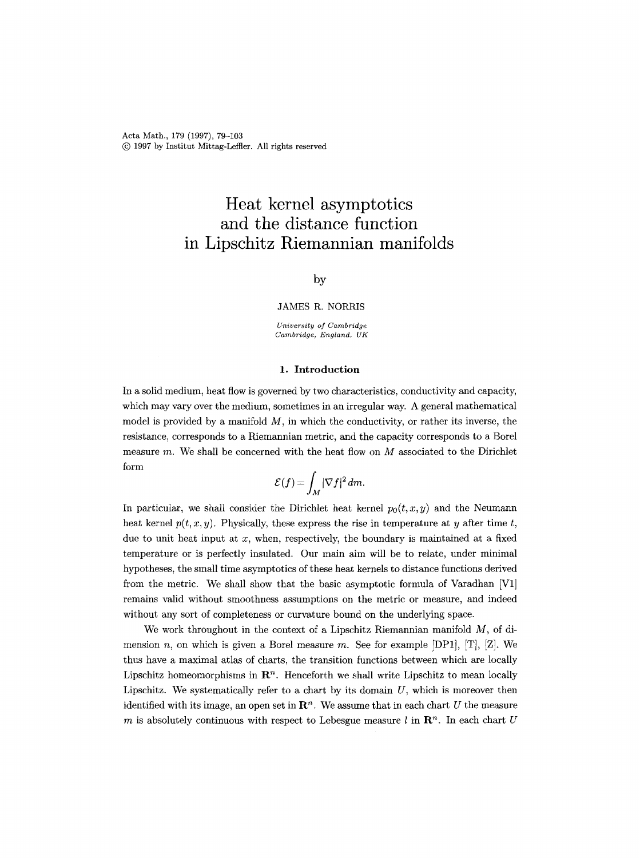Acta Math., 179 (1997), 79-103 (c) 1997 by Institut Mittag-Leffler. All rights reserved

# **Heat kernel asymptotics and the distance function in Lipschitz Riemannian manifolds**

## by

JAMES R. NORRIS

*University of Cambmdge Cambridge, England, UK* 

### **1.** Introduction

In a solid medium, heat flow is governed by two characteristics, conductivity and capacity, which may vary over the medium, sometimes in an irregular way. A general mathematical model is provided by a manifold *M,* in which the conductivity, or rather its inverse, the resistance, corresponds to a Riemannian metric, and the capacity corresponds to a Borel measure  $m$ . We shall be concerned with the heat flow on  $M$  associated to the Dirichlet form

$$
\mathcal{E}(f) = \int_M |\nabla f|^2 \, dm.
$$

In particular, we shall consider the Dirichlet heat kernel  $p_0(t, x, y)$  and the Neumann heat kernel  $p(t, x, y)$ . Physically, these express the rise in temperature at y after time t, due to unit heat input at  $x$ , when, respectively, the boundary is maintained at a fixed temperature or is perfectly insulated. Our main aim will be to relate, under minimal hypotheses, the small time asymptotics of these heat kernels to distance functions derived from the metric. We shall show that the basic asymptotic formula of Varadhan [V1] remains valid without smoothness assumptions on the metric or measure, and indeed without any sort of completeness or curvature bound on the underlying space.

We work throughout in the context of a Lipschitz Riemannian manifold  $M$ , of dimension n, on which is given a Borel measure m. See for example [DP1], [T], [Z]. We thus have a maximal atlas of charts, the transition functions between which are locally Lipschitz homeomorphisms in  $\mathbb{R}^n$ . Henceforth we shall write Lipschitz to mean locally Lipschitz. We systematically refer to a chart by its domain  $U$ , which is moreover then identified with its image, an open set in  $\mathbb{R}^n$ . We assume that in each chart U the measure m is absolutely continuous with respect to Lebesgue measure l in  $\mathbb{R}^n$ . In each chart U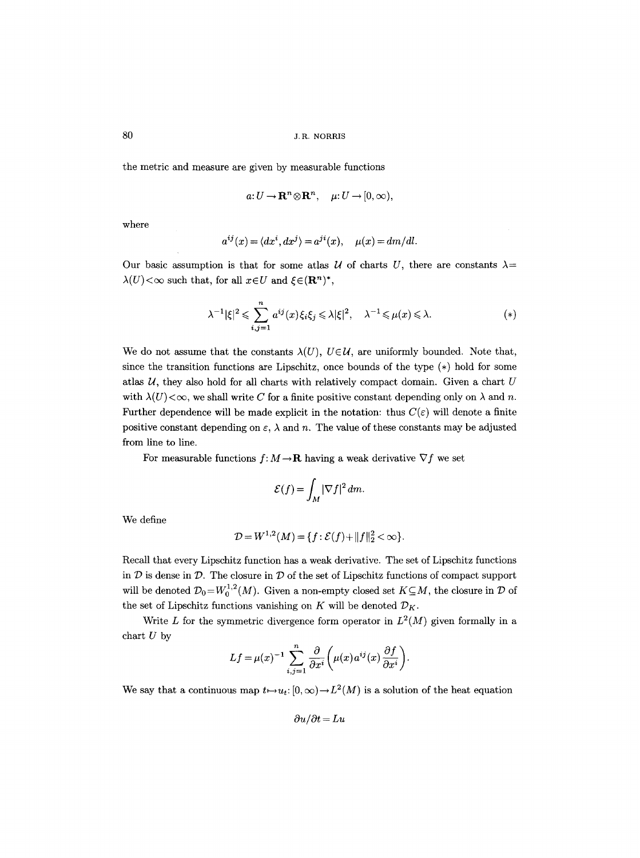the metric and measure are given by measurable functions

$$
a: U \to \mathbf{R}^n \otimes \mathbf{R}^n, \quad \mu: U \to [0, \infty),
$$

where

$$
a^{ij}(x) = \langle dx^i, dx^j \rangle = a^{ji}(x), \quad \mu(x) = dm/dl.
$$

Our basic assumption is that for some atlas *U* of charts *U*, there are constants  $\lambda$ =  $\lambda(U)$  <  $\infty$  such that, for all  $x \in U$  and  $\xi \in (\mathbf{R}^n)^*$ ,

$$
\lambda^{-1}|\xi|^2 \leq \sum_{i,j=1}^n a^{ij}(x)\xi_i\xi_j \leq \lambda|\xi|^2, \quad \lambda^{-1} \leq \mu(x) \leq \lambda. \tag{*}
$$

We do not assume that the constants  $\lambda(U), U \in \mathcal{U}$ , are uniformly bounded. Note that, since the transition functions are Lipschitz, once bounds of the type (\*) hold for some atlas  $U$ , they also hold for all charts with relatively compact domain. Given a chart  $U$ with  $\lambda(U) < \infty$ , we shall write C for a finite positive constant depending only on  $\lambda$  and n. Further dependence will be made explicit in the notation: thus  $C(\varepsilon)$  will denote a finite positive constant depending on  $\varepsilon$ ,  $\lambda$  and n. The value of these constants may be adjusted from line to line.

For measurable functions  $f: M \to \mathbf{R}$  having a weak derivative  $\nabla f$  we set

$$
\mathcal{E}(f) = \int_M |\nabla f|^2 \, dm.
$$

We define

$$
\mathcal{D} = W^{1,2}(M) = \{f : \mathcal{E}(f) + ||f||_2^2 < \infty\}.
$$

Recall that every Lipschitz function has a weak derivative. The set of Lipschitz functions in  $D$  is dense in  $D$ . The closure in  $D$  of the set of Lipschitz functions of compact support will be denoted  $\mathcal{D}_0 = W_0^{1,2}(M)$ . Given a non-empty closed set  $K \subseteq M$ , the closure in  $\mathcal D$  of the set of Lipschitz functions vanishing on  $K$  will be denoted  $\mathcal{D}_K$ .

Write L for the symmetric divergence form operator in  $L^2(M)$  given formally in a chart  $U$  by

$$
Lf = \mu(x)^{-1} \sum_{i,j=1}^{n} \frac{\partial}{\partial x^{i}} \left( \mu(x) a^{ij}(x) \frac{\partial f}{\partial x^{i}} \right).
$$

We say that a continuous map  $t \mapsto u_t: [0, \infty) \to L^2(M)$  is a solution of the heat equation

 $\partial u/\partial t = Lu$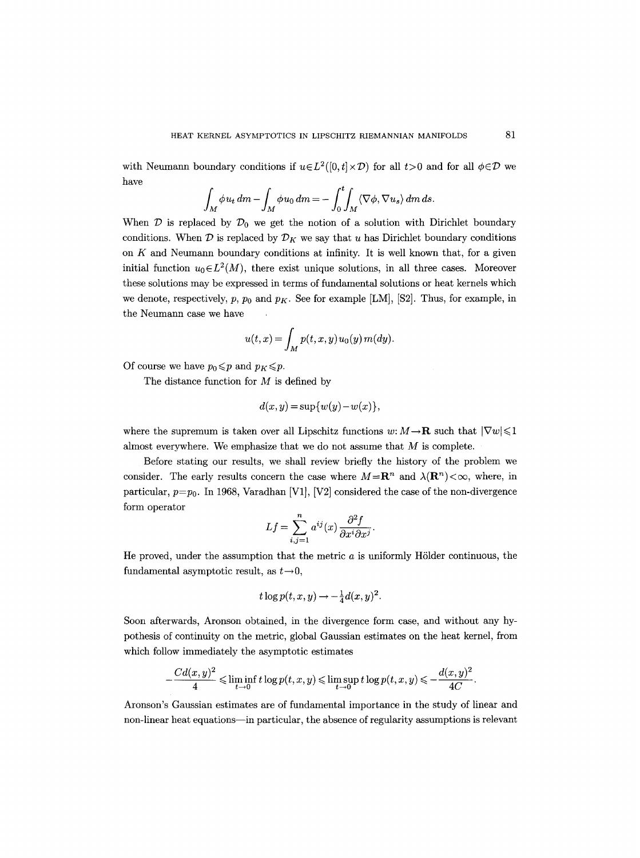with Neumann boundary conditions if  $u \in L^2([0,t] \times \mathcal{D})$  for all  $t>0$  and for all  $\phi \in \mathcal{D}$  we have

$$
\int_M \phi u_t \, dm - \int_M \phi u_0 \, dm = - \int_0^t \int_M \langle \nabla \phi, \nabla u_s \rangle \, dm \, ds.
$$

When  $\mathcal D$  is replaced by  $\mathcal D_0$  we get the notion of a solution with Dirichlet boundary conditions. When  $\mathcal D$  is replaced by  $\mathcal D_K$  we say that u has Dirichlet boundary conditions on  $K$  and Neumann boundary conditions at infinity. It is well known that, for a given initial function  $u_0 \in L^2(M)$ , there exist unique solutions, in all three cases. Moreover these solutions may be expressed in terms of fundamental solutions or heat kernels which we denote, respectively,  $p$ ,  $p_0$  and  $p_K$ . See for example [LM], [S2]. Thus, for example, in the Neumann case we have

$$
u(t,x) = \int_M p(t,x,y)u_0(y) m(dy).
$$

Of course we have  $p_0 \leqslant p$  and  $p_K \leqslant p$ .

The distance function for  $M$  is defined by

$$
d(x, y) = \sup \{w(y) - w(x)\},\
$$

where the supremum is taken over all Lipschitz functions  $w: M \to \mathbf{R}$  such that  $|\nabla w| \leq 1$ almost everywhere. We emphasize that we do not assume that  $M$  is complete.

Before stating our results, we shall review briefly the history of the problem we consider. The early results concern the case where  $M = \mathbb{R}^n$  and  $\lambda(\mathbb{R}^n) < \infty$ , where, in particular,  $p=p_0$ . In 1968, Varadhan [V1], [V2] considered the case of the non-divergence form operator

$$
Lf = \sum_{i,j=1}^{n} a^{ij}(x) \frac{\partial^2 f}{\partial x^i \partial x^j}.
$$

He proved, under the assumption that the metric  $a$  is uniformly Hölder continuous, the fundamental asymptotic result, as  $t\rightarrow 0$ ,

$$
t\log p(t,x,y) \rightarrow -\frac{1}{4}d(x,y)^2.
$$

Soon afterwards, Aronson obtained, in the divergence form case, and without any hypothesis of continuity on the metric, global Gaussian estimates on the heat kernel, from which follow immediately the asymptotic estimates

$$
-\frac{Cd(x,y)^2}{4} \leqslant \liminf_{t\to 0} t\log p(t,x,y) \leqslant \limsup_{t\to 0} t\log p(t,x,y) \leqslant -\frac{d(x,y)^2}{4C}.
$$

Aronson's Gaussian estimates are of fundamental importance in the study of linear and non-linear heat equations--in particular, the absence of regularity assumptions is relevant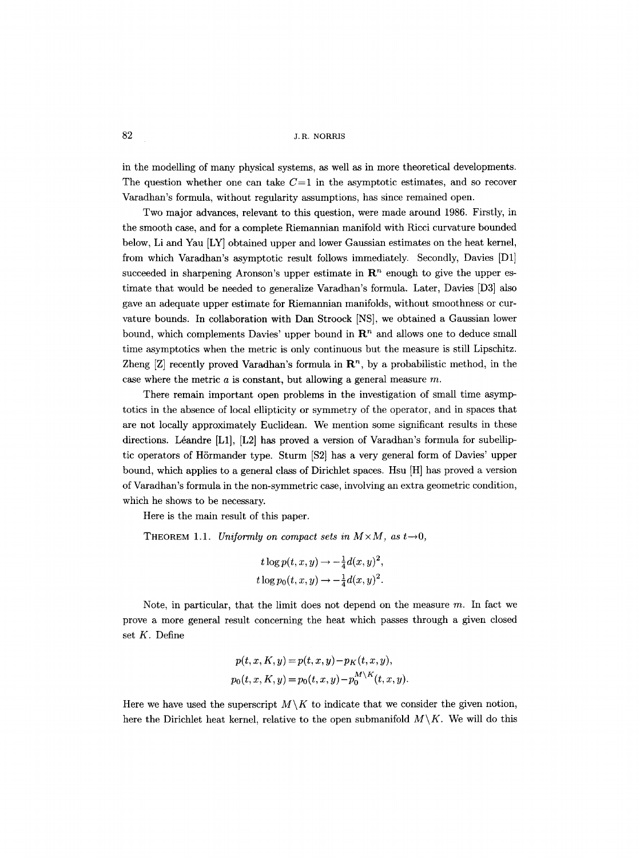in the modelling of many physical systems, as well as in more theoretical developments. The question whether one can take  $C=1$  in the asymptotic estimates, and so recover Varadhan's formula, without regularity assumptions, has since remained open.

Two major advances, relevant to this question, were made around 1986. Firstly, in the smooth case, and for a complete Riemannian manifold with Ricci curvature bounded below, Li and Yau [LY] obtained upper and lower Ganssian estimates on the heat kernel, from which Varadhan's asymptotic result follows immediately. Secondly, Davies [D1] succeeded in sharpening Aronson's upper estimate in  $\mathbb{R}^n$  enough to give the upper estimate that would be needed to generalize Varadhan's formula. Later, Davies [D3] also gave an adequate upper estimate for Riemannian manifolds, without smoothness or curvature bounds. In collaboration with Dan Stroock INS], we obtained a Ganssian lower bound, which complements Davies' upper bound in  $\mathbb{R}^n$  and allows one to deduce small time asymptotics when the metric is only continuous but the measure is still Lipschitz. Zheng [Z] recently proved Varadhan's formula in  $\mathbb{R}^n$ , by a probabilistic method, in the case where the metric  $a$  is constant, but allowing a general measure  $m$ .

There remain important open problems in the investigation of small time asymptotics in the absence of local ellipticity or symmetry of the operator, and in spaces that are not locally approximately Euclidean. We mention some significant results in these directions. Léandre  $[L1]$ ,  $[L2]$  has proved a version of Varadhan's formula for subelliptic operators of Hörmander type. Sturm [S2] has a very general form of Davies' upper bound, which applies to a general class of Dirichlet spaces. Hsu [HI has proved a version of Varadhan's formula in the non-symmetric case, involving an extra geometric condition, which he shows to be necessary.

Here is the main result of this paper.

THEOREM 1.1. *Uniformly on compact sets in*  $M \times M$ , as  $t \rightarrow 0$ ,

$$
t \log p(t, x, y) \rightarrow -\frac{1}{4}d(x, y)^2,
$$
  
\n
$$
t \log p_0(t, x, y) \rightarrow -\frac{1}{4}d(x, y)^2.
$$

Note, in particular, that the limit does not depend on the measure  $m$ . In fact we prove a more general result concerning the heat which passes through a given closed set K. Define

$$
p(t, x, K, y) = p(t, x, y) - p_K(t, x, y),
$$
  
\n
$$
p_0(t, x, K, y) = p_0(t, x, y) - p_0^{M \setminus K}(t, x, y).
$$

Here we have used the superscript  $M\setminus K$  to indicate that we consider the given notion, here the Dirichlet heat kernel, relative to the open submanifold  $M\backslash K$ . We will do this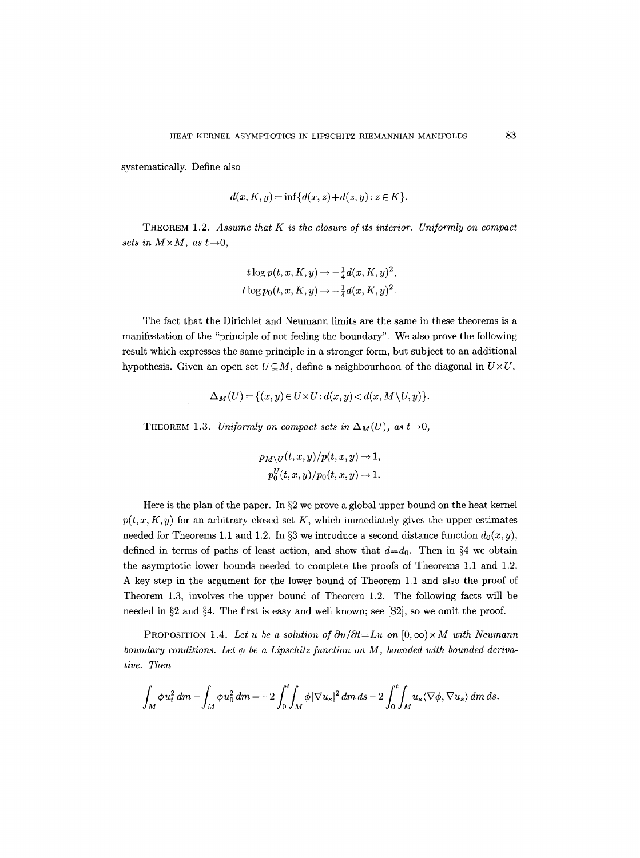systematically. Define also

$$
d(x, K, y) = \inf \{ d(x, z) + d(z, y) : z \in K \}.
$$

THEOREM 1.2. *Assume that K is the closure of its interior. Uniformly on compact sets in*  $M \times M$ , as  $t \rightarrow 0$ ,

$$
t \log p(t, x, K, y) \rightarrow -\frac{1}{4}d(x, K, y)^{2},
$$
  

$$
t \log p_{0}(t, x, K, y) \rightarrow -\frac{1}{4}d(x, K, y)^{2}.
$$

The fact that the Dirichlet and Neumann limits are the same in these theorems is a manifestation of the "principle of not feeling the boundary". We also prove the following result which expresses the same principle in a stronger form, but subject to an additional hypothesis. Given an open set  $U\subseteq M$ , define a neighbourhood of the diagonal in  $U\times U$ ,

$$
\Delta_M(U) = \{(x, y) \in U \times U : d(x, y) < d(x, M \setminus U, y)\}.
$$

THEOREM 1.3. *Uniformly on compact sets in*  $\Delta_M(U)$ , as  $t \rightarrow 0$ ,

$$
p_{M\setminus U}(t, x, y)/p(t, x, y) \to 1,
$$
  

$$
p_0^U(t, x, y)/p_0(t, x, y) \to 1.
$$

Here is the plan of the paper. In  $\S 2$  we prove a global upper bound on the heat kernel  $p(t, x, K, y)$  for an arbitrary closed set K, which immediately gives the upper estimates needed for Theorems 1.1 and 1.2. In §3 we introduce a second distance function  $d_0(x, y)$ , defined in terms of paths of least action, and show that  $d=d_0$ . Then in §4 we obtain the asymptotic lower bounds needed to complete the proofs of Theorems 1.1 and 1.2. A key step in the argument for the lower bound of Theorem 1.1 and also the proof of Theorem 1.3, involves the upper bound of Theorem 1.2. The following facts will be needed in  $\S 2$  and  $\S 4$ . The first is easy and well known; see [S2], so we omit the proof.

PROPOSITION 1.4. Let u be a solution of  $\partial u/\partial t = Lu$  on  $[0, \infty) \times M$  with Neumann *boundary conditions. Let*  $\phi$  *be a Lipschitz function on M, bounded with bounded derivative. Then* 

$$
\int_M \phi u_t^2 dm - \int_M \phi u_0^2 dm = -2 \int_0^t \int_M \phi |\nabla u_s|^2 dm ds - 2 \int_0^t \int_M u_s \langle \nabla \phi, \nabla u_s \rangle dm ds.
$$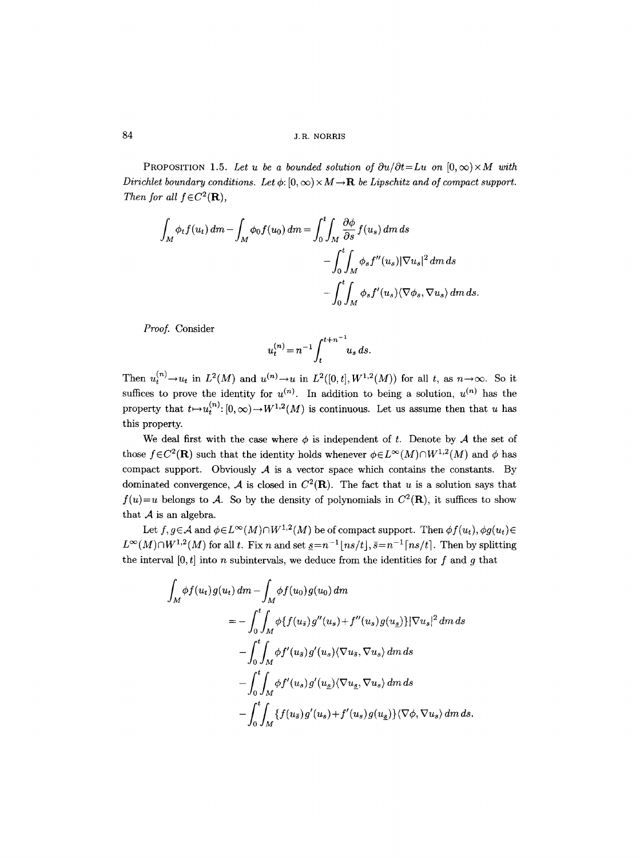PROPOSITION 1.5. Let u be a bounded solution of  $\partial u/\partial t = Lu$  on  $[0, \infty) \times M$  with *Dirichlet boundary conditions. Let*  $\phi$ :  $[0, \infty) \times M \rightarrow \mathbf{R}$  *be Lipschitz and of compact support. Then for all*  $f \in C^2(\mathbf{R})$ *,* 

$$
\int_{M} \phi_{t} f(u_{t}) dm - \int_{M} \phi_{0} f(u_{0}) dm = \int_{0}^{t} \int_{M} \frac{\partial \phi}{\partial s} f(u_{s}) dm ds
$$

$$
- \int_{0}^{t} \int_{M} \phi_{s} f''(u_{s}) |\nabla u_{s}|^{2} dm ds
$$

$$
- \int_{0}^{t} \int_{M} \phi_{s} f'(u_{s}) \langle \nabla \phi_{s}, \nabla u_{s} \rangle dm ds.
$$

*Proof.* Consider

$$
u_t^{(n)} = n^{-1} \int_t^{t+n^{-1}} u_s \, ds.
$$

Then  $u_t^{(n)} \to u_t$  in  $L^2(M)$  and  $u^{(n)} \to u$  in  $L^2([0,t],W^{1,2}(M))$  for all t, as  $n \to \infty$ . So it suffices to prove the identity for  $u^{(n)}$ . In addition to being a solution,  $u^{(n)}$  has the property that  $t \mapsto u_t^{(n)}: [0, \infty) \to W^{1,2}(M)$  is continuous. Let us assume then that u has this property.

We deal first with the case where  $\phi$  is independent of t. Denote by  $A$  the set of those  $f \in C^2(\mathbf{R})$  such that the identity holds whenever  $\phi \in L^{\infty}(M) \cap W^{1,2}(M)$  and  $\phi$  has compact support. Obviously  $A$  is a vector space which contains the constants. By dominated convergence,  $A$  is closed in  $C^2(\mathbf{R})$ . The fact that u is a solution says that  $f(u)=u$  belongs to A. So by the density of polynomials in  $C^2(\mathbf{R})$ , it suffices to show that  $A$  is an algebra.

Let  $f, g \in A$  and  $\phi \in L^{\infty}(M) \cap W^{1,2}(M)$  be of compact support. Then  $\phi f(u_t), \phi g(u_t) \in$  $L^{\infty}(M)\cap W^{1,2}(M)$  for all t. Fix n and set  $s=n^{-1}$   $\lfloor ns/t\rfloor$ ,  $\bar{s}=n^{-1}$   $\lceil ns/t\rceil$ . Then by splitting the interval  $[0, t]$  into n subintervals, we deduce from the identities for f and g that

$$
\int_M \phi f(u_t) g(u_t) dm - \int_M \phi f(u_0) g(u_0) dm
$$
  
=  $-\int_0^t \int_M \phi \{f(u_s) g''(u_s) + f''(u_s) g(u_s)\} |\nabla u_s|^2 dm ds$   
 $- \int_0^t \int_M \phi f'(u_s) g'(u_s) \langle \nabla u_s, \nabla u_s \rangle dm ds$   
 $- \int_0^t \int_M \phi f'(u_s) g'(u_s) \langle \nabla u_s, \nabla u_s \rangle dm ds$   
 $- \int_0^t \int_M \{f(u_s) g'(u_s) + f'(u_s) g(u_s) \} \langle \nabla \phi, \nabla u_s \rangle dm ds.$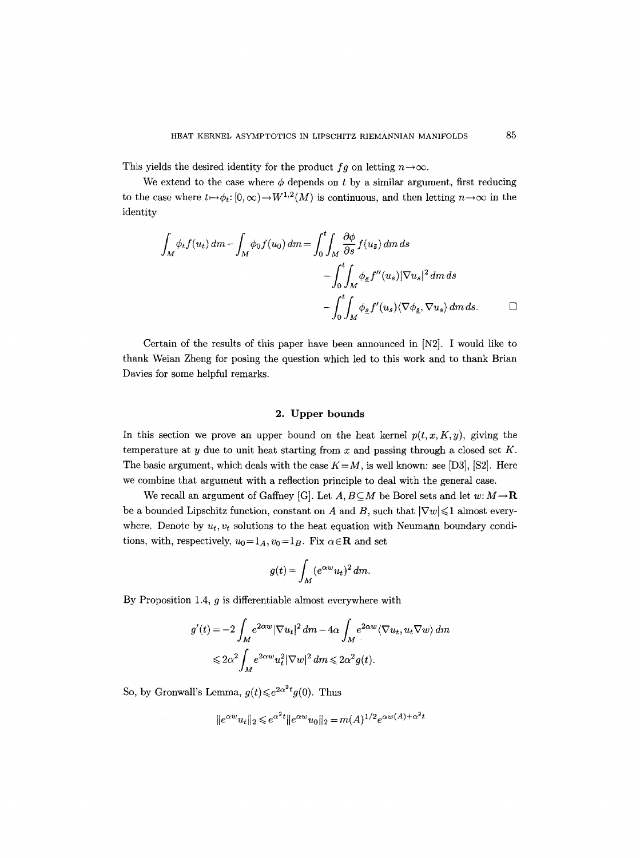This yields the desired identity for the product  $fg$  on letting  $n \rightarrow \infty$ .

We extend to the case where  $\phi$  depends on t by a similar argument, first reducing to the case where  $t \mapsto \phi_t : [0, \infty) \to W^{1,2}(M)$  is continuous, and then letting  $n \to \infty$  in the identity

$$
\int_{M} \phi_{t} f(u_{t}) dm - \int_{M} \phi_{0} f(u_{0}) dm = \int_{0}^{t} \int_{M} \frac{\partial \phi}{\partial s} f(u_{\bar{s}}) dm ds
$$

$$
- \int_{0}^{t} \int_{M} \phi_{\underline{s}} f''(u_{s}) |\nabla u_{s}|^{2} dm ds
$$

$$
- \int_{0}^{t} \int_{M} \phi_{\underline{s}} f'(u_{s}) \langle \nabla \phi_{\underline{s}}, \nabla u_{s} \rangle dm ds. \qquad \Box
$$

Certain of the results of this paper have been announced in IN2]. I would like to thank Weian Zheng for posing the question which led to this work and to thank Brian Davies for some helpful remarks.

## 2. Upper bounds

In this section we prove an upper bound on the heat kernel  $p(t, x, K, y)$ , giving the temperature at y due to unit heat starting from x and passing through a closed set  $K$ . The basic argument, which deals with the case  $K=M$ , is well known: see [D3], [S2]. Here we combine that argument with a reflection principle to deal with the general case.

We recall an argument of Gaffney [G]. Let  $A, B \subseteq M$  be Borel sets and let w:  $M \rightarrow \mathbf{R}$ be a bounded Lipschitz function, constant on A and B, such that  $|\nabla w| \leq 1$  almost everywhere. Denote by  $u_t, v_t$  solutions to the heat equation with Neumann boundary conditions, with, respectively,  $u_0=1_A$ ,  $v_0=1_B$ . Fix  $\alpha \in \mathbb{R}$  and set

$$
g(t) = \int_M (e^{\alpha w} u_t)^2 dm.
$$

By Proposition 1.4,  $g$  is differentiable almost everywhere with

$$
g'(t) = -2 \int_M e^{2\alpha w} |\nabla u_t|^2 d\mathfrak{m} - 4\alpha \int_M e^{2\alpha w} \langle \nabla u_t, u_t \nabla w \rangle d\mathfrak{m}
$$
  

$$
\leq 2\alpha^2 \int_M e^{2\alpha w} u_t^2 |\nabla w|^2 d\mathfrak{m} \leq 2\alpha^2 g(t).
$$

So, by Gronwall's Lemma,  $g(t) \leq e^{2\alpha^2 t} g(0)$ . Thus

$$
||e^{\alpha w}u_t||_2 \leq e^{\alpha^2 t} ||e^{\alpha w}u_0||_2 = m(A)^{1/2} e^{\alpha w(A) + \alpha^2 t}
$$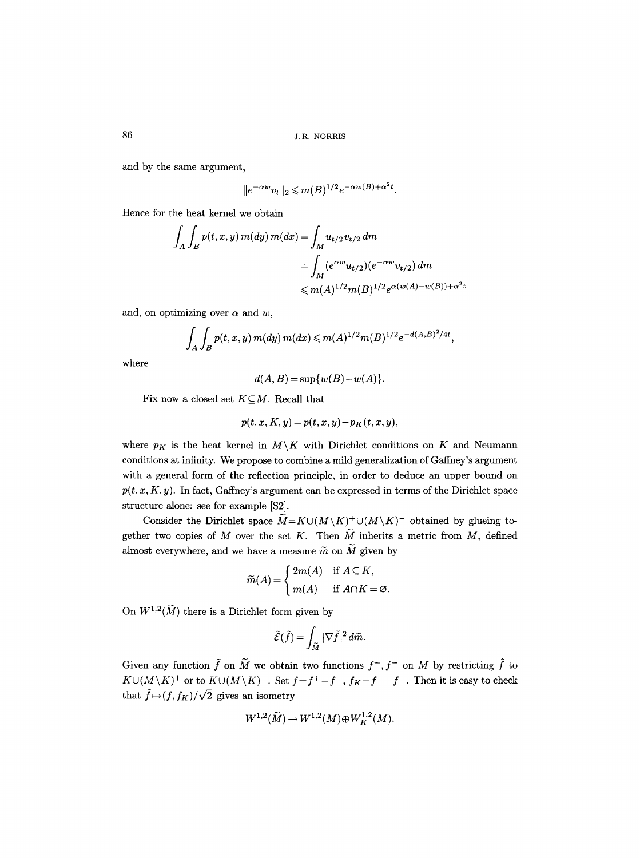and by the same argument,

$$
||e^{-\alpha w}v_t||_2 \leq m(B)^{1/2}e^{-\alpha w(B)+\alpha^2t}.
$$

Hence for the heat kernel we obtain

$$
\int_{A} \int_{B} p(t, x, y) m(dy) m(dx) = \int_{M} u_{t/2} v_{t/2} dm
$$
  
= 
$$
\int_{M} (e^{\alpha w} u_{t/2}) (e^{-\alpha w} v_{t/2}) dm
$$
  

$$
\leq m(A)^{1/2} m(B)^{1/2} e^{\alpha (w(A) - w(B)) + \alpha^{2} t}
$$

and, on optimizing over  $\alpha$  and w,

$$
\int_A \int_B p(t, x, y) m(dy) m(dx) \leq m(A)^{1/2} m(B)^{1/2} e^{-d(A, B)^2/4t},
$$

where

$$
d(A, B) = \sup \{w(B) - w(A)\}.
$$

Fix now a closed set  $K\subseteq M$ . Recall that

$$
p(t, x, K, y) = p(t, x, y) - pK(t, x, y),
$$

where  $p_K$  is the heat kernel in  $M\backslash K$  with Dirichlet conditions on K and Neumann conditions at infinity. We propose to combine a mild generalization of Gaffney's argument with a general form of the reflection principle, in order to deduce an upper bound on  $p(t, x, K, y)$ . In fact, Gaffney's argument can be expressed in terms of the Dirichlet space structure alone: see for example [\$2].

Consider the Dirichlet space  $\widetilde{M}=K\cup (M\backslash K)^+\cup (M\backslash K)^-$  obtained by glueing together two copies of M over the set K. Then  $\widetilde{M}$  inherits a metric from M, defined almost everywhere, and we have a measure  $\widetilde{m}$  on  $\widetilde{M}$  given by

$$
\widetilde{m}(A) = \begin{cases} 2m(A) & \text{if } A \subseteq K, \\ m(A) & \text{if } A \cap K = \varnothing. \end{cases}
$$

On  $W^{1,2}(\widetilde{M})$  there is a Dirichlet form given by

$$
\tilde{\mathcal{E}}(\tilde{f}) = \int_{\tilde{M}} |\nabla \tilde{f}|^2 d\tilde{m}.
$$

Given any function  $\tilde{f}$  on  $\tilde{M}$  we obtain two functions  $f^+, f^-$  on M by restricting  $\tilde{f}$  to  $K \cup (M \setminus K)^+$  or to  $K \cup (M \setminus K)^-$ . Set  $f = f^+ + f^-$ ,  $f_K = f^+ - f^-$ . Then it is easy to check that  $\tilde{f}\mapsto (f, f_K)/\sqrt{2}$  gives an isometry

$$
W^{1,2}(\widetilde{M}) \rightarrow W^{1,2}(M) \oplus W^{1,2}_K(M).
$$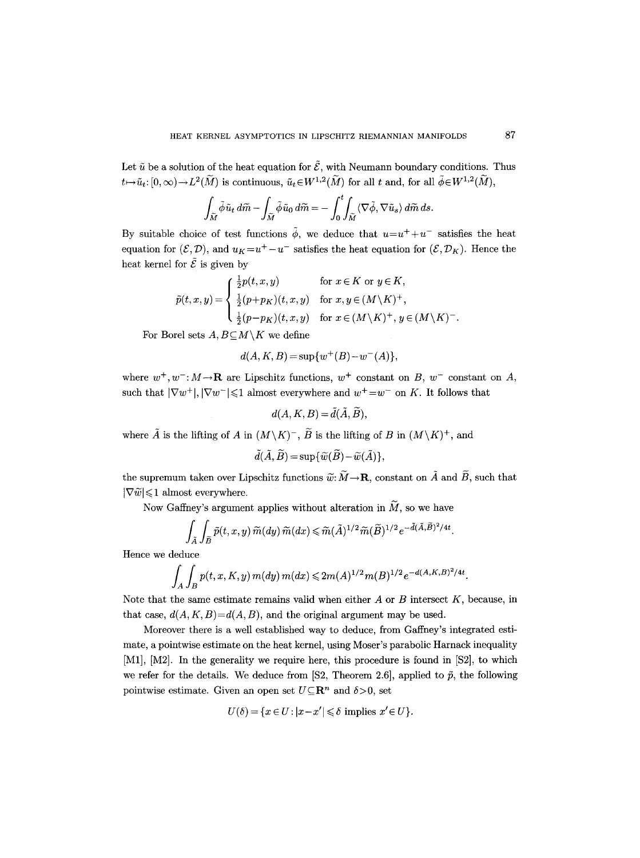Let  $\tilde{u}$  be a solution of the heat equation for  $\tilde{\mathcal{E}}$ , with Neumann boundary conditions. Thus  $t\mapsto \tilde{u}_t: [0,\infty)\to L^2(\widetilde{M})$  is continuous,  $\tilde{u}_t\in W^{1,2}(\widetilde{M})$  for all  $t$  and, for all  $\tilde{\phi}\in W^{1,2}(\widetilde{M})$ ,

$$
\int_{\widetilde{M}} \widetilde{\phi} \widetilde{u}_t d\widetilde{m} - \int_{\widetilde{M}} \widetilde{\phi} \widetilde{u}_0 d\widetilde{m} = - \int_0^t \int_{\widetilde{M}} \langle \nabla \widetilde{\phi}, \nabla \widetilde{u}_s \rangle d\widetilde{m} ds.
$$

By suitable choice of test functions  $\tilde{\phi}$ , we deduce that  $u=u^++u^-$  satisfies the heat equation for  $(\mathcal{E}, \mathcal{D})$ , and  $u_K = u^+ - u^-$  satisfies the heat equation for  $(\mathcal{E}, \mathcal{D}_K)$ . Hence the heat kernel for  $\tilde{\mathcal{E}}$  is given by

$$
\tilde{p}(t,x,y) = \begin{cases}\n\frac{1}{2}p(t,x,y) & \text{for } x \in K \text{ or } y \in K, \\
\frac{1}{2}(p+p_K)(t,x,y) & \text{for } x, y \in (M \setminus K)^+, \\
\frac{1}{2}(p-p_K)(t,x,y) & \text{for } x \in (M \setminus K)^+, y \in (M \setminus K)^-.\n\end{cases}
$$

For Borel sets  $A, B \subseteq M \setminus K$  we define

$$
d(A, K, B) = \sup \{ w^+(B) - w^-(A) \},
$$

where  $w^+, w^-, M \rightarrow \mathbb{R}$  are Lipschitz functions,  $w^+$  constant on B,  $w^-$  constant on A, such that  $|\nabla w^+|, |\nabla w^-| \leq 1$  almost everywhere and  $w^+ = w^-$  on K. It follows that

$$
d(A, K, B) = \tilde{d}(\tilde{A}, \tilde{B}),
$$

where  $\tilde{A}$  is the lifting of A in  $(M\backslash K)^-$ ,  $\tilde{B}$  is the lifting of B in  $(M\backslash K)^+$ , and

$$
\tilde{d}(\tilde{A}, \tilde{B}) = \sup \{ \tilde{w}(\tilde{B}) - \tilde{w}(\tilde{A}) \},
$$

the supremum taken over Lipschitz functions  $\widetilde{w}: \widetilde{M} \to \mathbf{R}$ , constant on  $\widetilde{A}$  and  $\widetilde{B}$ , such that  $|\nabla \widetilde{w}| \leq 1$  almost everywhere.

Now Gaffney's argument applies without alteration in  $\widetilde{M}$ , so we have

$$
\int_{\tilde{A}} \int_{\tilde{B}} \tilde{p}(t, x, y) \, \tilde{m}(dy) \, \tilde{m}(dx) \leq \tilde{m}(\tilde{A})^{1/2} \tilde{m}(\tilde{B})^{1/2} e^{-\tilde{d}(\tilde{A}, \tilde{B})^2/4t}.
$$

Hence we deduce

$$
\int_A \int_B p(t, x, K, y) m(dy) m(dx) \leq 2m(A)^{1/2} m(B)^{1/2} e^{-d(A, K, B)^2/4t}.
$$

Note that the same estimate remains valid when either  $A$  or  $B$  intersect  $K$ , because, in that case,  $d(A, K, B) = d(A, B)$ , and the original argument may be used.

Moreover there is a well established way to deduce, from Gaffney's integrated estimate, a pointwise estimate on the heat kernel, using Moser's parabolic Harnack inequality [M1], [M2]. In the generality we require here, this procedure is found in [S2], to which we refer for the details. We deduce from [S2, Theorem 2.6], applied to  $\tilde{p}$ , the following pointwise estimate. Given an open set  $U\subseteq \mathbb{R}^n$  and  $\delta > 0$ , set

$$
U(\delta) = \{x \in U : |x - x'| \leq \delta \text{ implies } x' \in U\}.
$$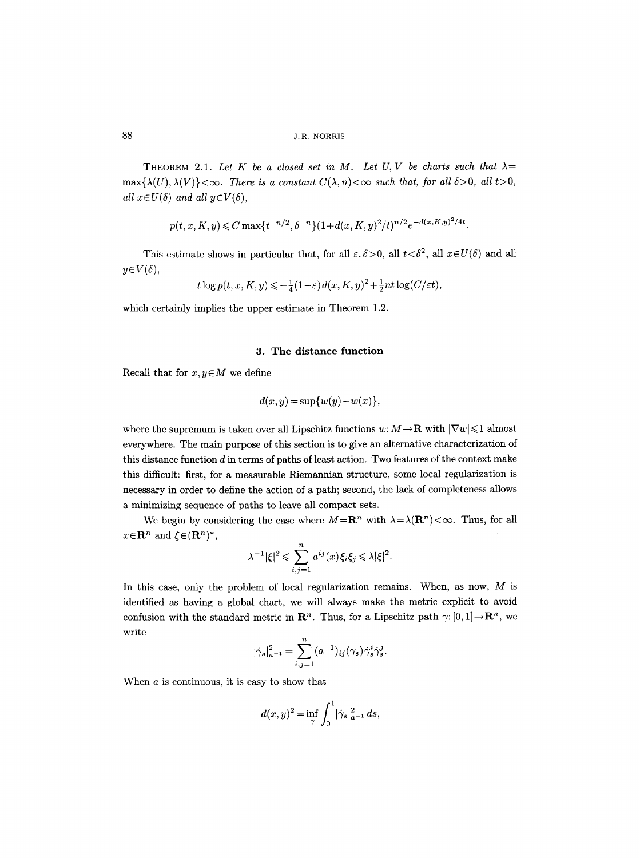THEOREM 2.1. Let K be a closed set in M. Let U, V be charts such that  $\lambda =$  $\max\{\lambda(U),\lambda(V)\}<\infty$ . There is a constant  $C(\lambda,n)<\infty$  such that, for all  $\delta>0$ , all  $t>0$ , *all*  $x \in U(\delta)$  *and all*  $y \in V(\delta)$ ,

$$
p(t, x, K, y) \leq C \max\{t^{-n/2}, \delta^{-n}\}(1 + d(x, K, y)^2/t)^{n/2}e^{-d(x, K, y)^2/4t}.
$$

This estimate shows in particular that, for all  $\varepsilon, \delta > 0$ , all  $t < \delta^2$ , all  $x \in U(\delta)$  and all  $y \in V(\delta)$ ,

$$
t\log p(t, x, K, y) \leqslant -\frac{1}{4}(1-\varepsilon)d(x, K, y)^2 + \frac{1}{2}nt\log(C/\varepsilon t),
$$

which certainly implies the upper estimate in Theorem 1.2.

#### 3. The distance function

Recall that for  $x, y \in M$  we define

$$
d(x, y) = \sup \{w(y) - w(x)\},
$$

where the supremum is taken over all Lipschitz functions  $w: M \to \mathbf{R}$  with  $|\nabla w| \leq 1$  almost everywhere. The main purpose of this section is to give an alternative characterization of this distance function  $d$  in terms of paths of least action. Two features of the context make this difficult: first, for a measurable Riemannian structure, some local regularization is necessary in order to define the action of a path; second, the lack of completeness allows a minimizing sequence of paths to leave all compact sets.

We begin by considering the case where  $M = \mathbb{R}^n$  with  $\lambda = \lambda(\mathbb{R}^n) < \infty$ . Thus, for all  $x \in \mathbb{R}^n$  and  $\xi \in (\mathbb{R}^n)^*$ ,

$$
\lambda^{-1}|\xi|^2 \leqslant \sum_{i,j=1}^n a^{ij}(x)\xi_i\xi_j \leqslant \lambda |\xi|^2.
$$

In this case, only the problem of local regularization remains. When, as now,  $M$  is identified as having a global chart, we will always make the metric explicit to avoid confusion with the standard metric in  $\mathbb{R}^n$ . Thus, for a Lipschitz path  $\gamma: [0,1] \to \mathbb{R}^n$ , we write

$$
|\dot\gamma_s|^2_{a^{-1}}=\sum_{i,j=1}^n(a^{-1})_{ij}(\gamma_s)\dot\gamma_s^i\dot\gamma_s^j
$$

When a is continuous, it is easy to show that

$$
d(x,y)^{2} = \inf_{\gamma} \int_{0}^{1} |\dot{\gamma}_{s}|_{a^{-1}}^{2} ds,
$$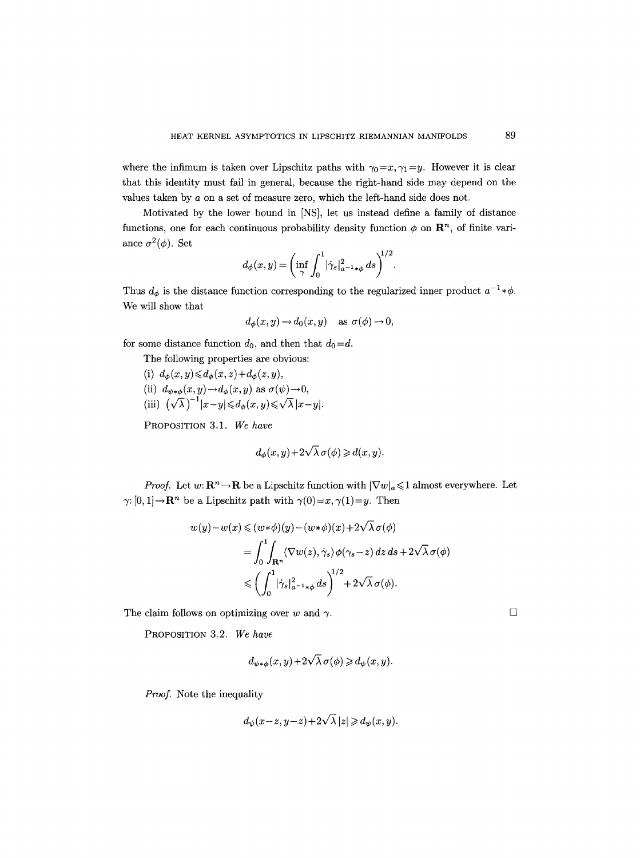where the infimum is taken over Lipschitz paths with  $\gamma_0=x, \gamma_1=y$ . However it is clear that this identity must fail in general, because the right-hand side may depend on the values taken by a on a set of measure zero, which the left-hand side does not.

Motivated by the lower bound in [NS], let us instead define a family of distance functions, one for each continuous probability density function  $\phi$  on  $\mathbb{R}^n$ , of finite variance  $\sigma^2(\phi)$ . Set

$$
d_\phi(x,y) = \bigg(\inf_\gamma \int_0^1 \lvert \dot\gamma_s\rvert_{a^{-1}\ast\phi}^2\,ds\bigg)^{\!\!1/2}.
$$

Thus  $d_{\phi}$  is the distance function corresponding to the regularized inner product  $a^{-1} * \phi$ . We will show that

$$
d_{\phi}(x, y) \to d_0(x, y) \quad \text{as } \sigma(\phi) \to 0,
$$

for some distance function  $d_0$ , and then that  $d_0 = d$ .

The following properties are obvious:

(i)  $d_{\phi}(x, y) \leq d_{\phi}(x, z) + d_{\phi}(z, y),$ (ii)  $d_{\psi * \phi}(x, y) \rightarrow d_{\phi}(x, y)$  as  $\sigma(\psi) \rightarrow 0$ , (iii)  $(\sqrt{\lambda})^{-1}|x-y| \leq d_{\phi}(x, y) \leq \sqrt{\lambda} |x-y|$ .

PROPOSITION 3.1. *We have* 

$$
d_{\phi}(x, y) + 2\sqrt{\lambda} \,\sigma(\phi) \geq d(x, y).
$$

*Proof.* Let  $w: \mathbb{R}^n \to \mathbb{R}$  be a Lipschitz function with  $|\nabla w|_a \leqslant 1$  almost everywhere. Let  $\gamma: [0, 1] \to \mathbb{R}^n$  be a Lipschitz path with  $\gamma(0)=x, \gamma(1)=y$ . Then

$$
w(y) - w(x) \le (w * \phi)(y) - (w * \phi)(x) + 2\sqrt{\lambda} \sigma(\phi)
$$
  
= 
$$
\int_0^1 \int_{\mathbf{R}^n} \langle \nabla w(z), \dot{\gamma}_s \rangle \phi(\gamma_s - z) dz ds + 2\sqrt{\lambda} \sigma(\phi)
$$
  

$$
\le \left(\int_0^1 |\dot{\gamma}_s|_{a^{-1} * \phi}^2 ds\right)^{1/2} + 2\sqrt{\lambda} \sigma(\phi).
$$

The claim follows on optimizing over w and  $\gamma$ .

PROPOSITION 3.2. *We have* 

$$
d_{\psi * \phi}(x, y) + 2\sqrt{\lambda} \,\sigma(\phi) \geq d_{\psi}(x, y).
$$

*Proof.* Note the inequality

$$
d_{\psi}(x-z, y-z)+2\sqrt{\lambda} |z| \geq d_{\psi}(x, y).
$$

 $\Box$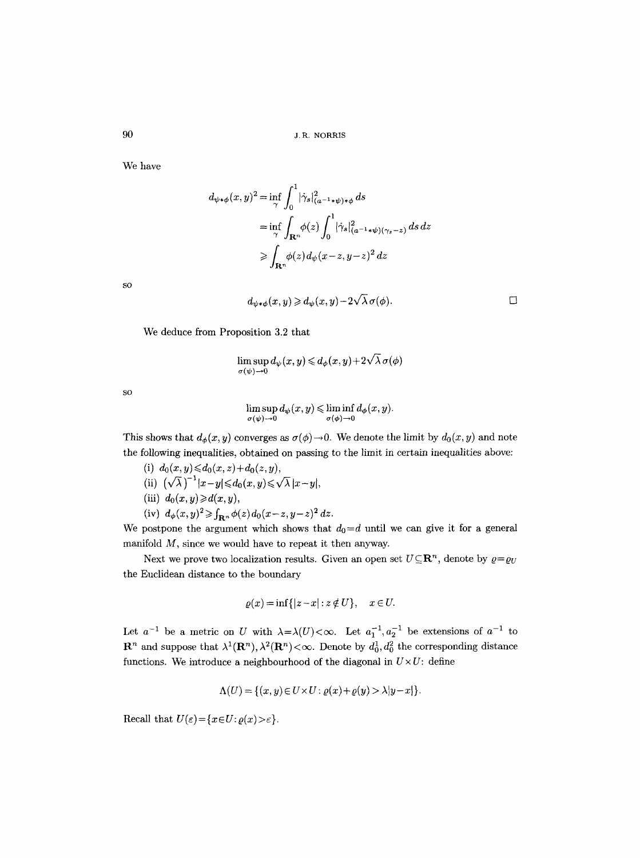We have

$$
d_{\psi*\phi}(x,y)^2 = \inf_{\gamma} \int_0^1 |\dot{\gamma}_s|_{(a^{-1}*\psi)*\phi}^2 ds
$$
  
\n
$$
= \inf_{\gamma} \int_{\mathbf{R}^n} \phi(z) \int_0^1 |\dot{\gamma}_s|_{(a^{-1}*\psi)(\gamma_s - z)}^2 ds dz
$$
  
\n
$$
\geq \int_{\mathbf{R}^n} \phi(z) d_{\psi}(x-z, y-z)^2 dz
$$

SO

$$
d_{\psi * \phi}(x, y) \geq d_{\psi}(x, y) - 2\sqrt{\lambda} \sigma(\phi).
$$

We deduce from Proposition 3.2 that

$$
\limsup_{\sigma(\psi)\to 0} d_{\psi}(x, y) \leq d_{\phi}(x, y) + 2\sqrt{\lambda} \,\sigma(\phi)
$$

SO

$$
\limsup_{\sigma(\psi)\to 0} d_{\psi}(x,y) \leqslant \liminf_{\sigma(\phi)\to 0} d_{\phi}(x,y).
$$

This shows that  $d_{\phi}(x, y)$  converges as  $\sigma(\phi) \to 0$ . We denote the limit by  $d_0(x, y)$  and note the following inequalities, obtained on passing to the limit in certain inequalities above:

- (i)  $d_0(x, y) \leq d_0(x, z) + d_0(z, y)$ ,
- (ii)  $(\sqrt{\lambda})^{-1}|x-y| \leq d_0(x,y) \leq \sqrt{\lambda} |x-y|$ ,
- (iii)  $d_0(x, y) \ge d(x, y)$ ,
- (iv)  $d_{\phi}(x,y)^2 \geq \int_{\mathbf{R}^n} \phi(z) d_0(x-z,y-z)^2 dz$ .

We postpone the argument which shows that  $d_0 = d$  until we can give it for a general manifold M, since we would have to repeat it then anyway.

Next we prove two localization results. Given an open set  $U \subseteq \mathbb{R}^n$ , denote by  $\varrho = \varrho_U$ the Euclidean distance to the boundary

$$
\varrho(x) = \inf\{|z - x| : z \notin U\}, \quad x \in U.
$$

Let  $a^{-1}$  be a metric on U with  $\lambda = \lambda(U) < \infty$ . Let  $a_1^{-1}, a_2^{-1}$  be extensions of  $a^{-1}$  to  $\mathbf{R}^n$  and suppose that  $\lambda^1(\mathbf{R}^n), \lambda^2(\mathbf{R}^n) < \infty$ . Denote by  $d_0^1, d_0^2$  the corresponding distance functions. We introduce a neighbourhood of the diagonal in  $U\times U$ : define

$$
\Lambda(U) = \{(x, y) \in U \times U : \varrho(x) + \varrho(y) > \lambda |y - x|\}.
$$

Recall that  $U(\varepsilon) = \{x \in U : \varrho(x) > \varepsilon\}.$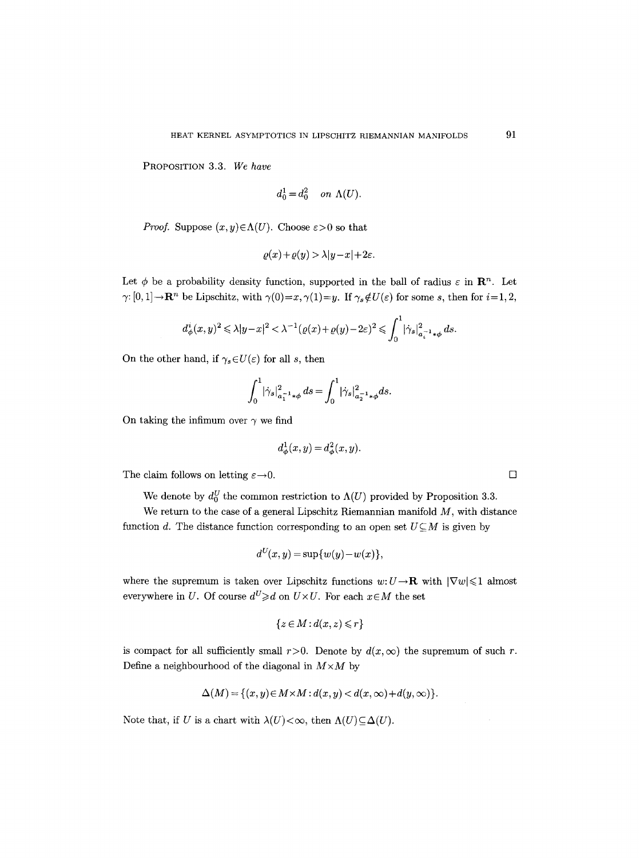PROPOSITION 3.3. *We have* 

$$
d_0^1 = d_0^2 \quad on \ \Lambda(U).
$$

*Proof.* Suppose  $(x, y) \in \Lambda(U)$ . Choose  $\varepsilon > 0$  so that

$$
\varrho(x)+\varrho(y)>\lambda|y-x|+2\varepsilon.
$$

Let  $\phi$  be a probability density function, supported in the ball of radius  $\varepsilon$  in  $\mathbb{R}^n$ . Let  $\gamma: [0, 1] \to \mathbf{R}^n$  be Lipschitz, with  $\gamma(0)=x, \gamma(1)=y$ . If  $\gamma_s \notin U(\varepsilon)$  for some s, then for  $i=1, 2$ ,

$$
d^i_\phi(x,y)^2\leqslant \lambda |y-x|^2<\lambda^{-1}\big(\varrho(x)+\varrho(y)-2\varepsilon\big)^2\leqslant \int_0^1\big|\dot\gamma_s\big|_{a_i^{-1}\ast\phi}^2\,ds
$$

On the other hand, if  $\gamma_s \in U(\varepsilon)$  for all s, then

$$
\int_0^1 |\dot{\gamma}_s|_{a_1^{-1}\ast\phi}^2 ds = \int_0^1 |\dot{\gamma}_s|_{a_2^{-1}\ast\phi}^2 ds.
$$

On taking the infimum over  $\gamma$  we find

$$
d_{\phi}^1(x, y) = d_{\phi}^2(x, y).
$$

The claim follows on letting  $\varepsilon \rightarrow 0$ .

We denote by  $d_0^U$  the common restriction to  $\Lambda(U)$  provided by Proposition 3.3.

We return to the case of a general Lipschitz Riemannian manifold  $M$ , with distance function d. The distance function corresponding to an open set  $U\subseteq M$  is given by

$$
d^{U}(x, y) = \sup \{w(y) - w(x)\},
$$

where the supremum is taken over Lipschitz functions  $w: U \to \mathbf{R}$  with  $|\nabla w| \leq 1$  almost everywhere in U. Of course  $d^U \ge d$  on  $U \times U$ . For each  $x \in M$  the set

$$
\{z \in M : d(x, z) \leq r\}
$$

is compact for all sufficiently small  $r>0$ . Denote by  $d(x, \infty)$  the supremum of such r. Define a neighbourhood of the diagonal in  $M \times M$  by

$$
\Delta(M) = \{(x, y) \in M \times M : d(x, y) < d(x, \infty) + d(y, \infty)\}.
$$

Note that, if U is a chart with  $\lambda(U)<\infty$ , then  $\Lambda(U)\subseteq\Delta(U)$ .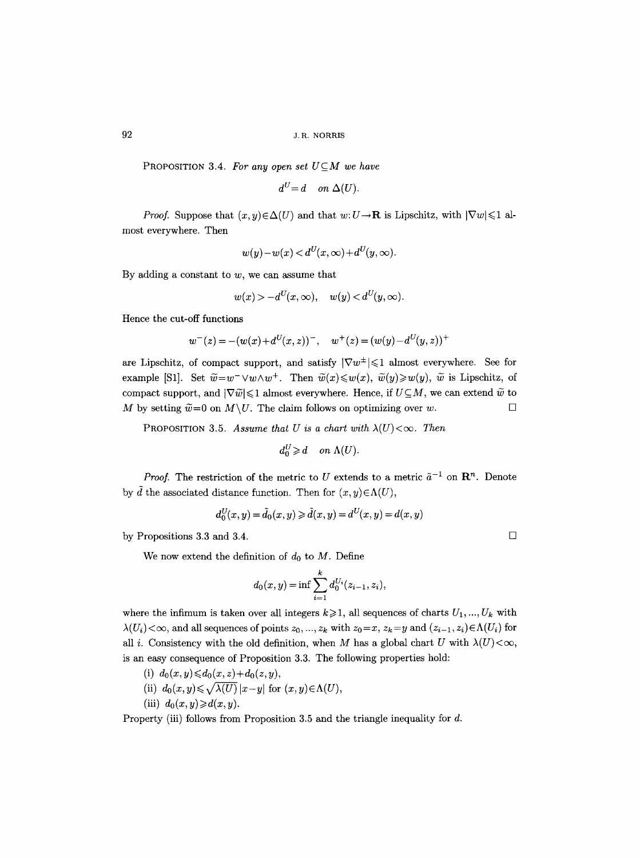**PROPOSITION 3.4. For any open set**  $U \subseteq M$  **we have** 

 $d^U=d$  on  $\Delta(U)$ .

*Proof.* Suppose that  $(x, y) \in \Delta(U)$  and that  $w: U \to \mathbf{R}$  is Lipschitz, with  $|\nabla w| \leq 1$  almost everywhere. Then

$$
w(y)-w(x) < d^U(x,\infty)+d^U(y,\infty).
$$

By adding a constant to  $w$ , we can assume that

$$
w(x) > -d^U(x,\infty), \quad w(y) < d^U(y,\infty).
$$

Hence the cut-off functions

$$
w^{-}(z) = -(w(x) + d^{U}(x, z))^{-}, \quad w^{+}(z) = (w(y) - d^{U}(y, z))^{+}
$$

are Lipschitz, of compact support, and satisfy  $|\nabla w^{\pm}| \leq 1$  almost everywhere. See for example [S1]. Set  $\tilde{w}=w^-\vee w\wedge w^+$ . Then  $\tilde{w}(x)\leqslant w(x), \tilde{w}(y)\geqslant w(y), \tilde{w}$  is Lipschitz, of compact support, and  $|\nabla \tilde{w}| \leq 1$  almost everywhere. Hence, if  $U \subseteq M$ , we can extend  $\tilde{w}$  to M by setting  $\widetilde{w}=0$  on  $M\setminus U$ . The claim follows on optimizing over w.

**PROPOSITION** 3.5. *Assume that U is a chart with*  $\lambda(U) < \infty$ . *Then* 

$$
d_0^U \geq d \quad on \ \Lambda(U).
$$

*Proof.* The restriction of the metric to U extends to a metric  $\tilde{a}^{-1}$  on  $\mathbb{R}^n$ . Denote by  $\tilde{d}$  the associated distance function. Then for  $(x, y) \in \Lambda(U)$ ,

$$
d_0^U(x, y) = \tilde{d}_0(x, y) \ge \tilde{d}(x, y) = d^U(x, y) = d(x, y)
$$

by Propositions 3.3 and 3.4.

We now extend the definition of  $d_0$  to M. Define

$$
d_0(x, y) = \inf \sum_{i=1}^k d_0^{U_i}(z_{i-1}, z_i),
$$

where the infimum is taken over all integers  $k \geqslant 1$ , all sequences of charts  $U_1, ..., U_k$  with  $\lambda(U_i) < \infty$ , and all sequences of points  $z_0, ..., z_k$  with  $z_0 = x, z_k = y$  and  $(z_{i-1}, z_i) \in \Lambda(U_i)$  for all i. Consistency with the old definition, when M has a global chart U with  $\lambda(U) < \infty$ , is an easy consequence of Proposition 3.3. The following properties hold:

- (i)  $d_0(x, y) \le d_0(x, z) + d_0(z, y)$ ,
- (ii)  $d_0(x,y) \leq \sqrt{\lambda(U)} |x-y|$  for  $(x,y) \in \Lambda(U)$ ,
- (iii)  $d_0(x, y) \ge d(x, y)$ .

Property (iii) follows from Proposition 3.5 and the triangle inequality for d.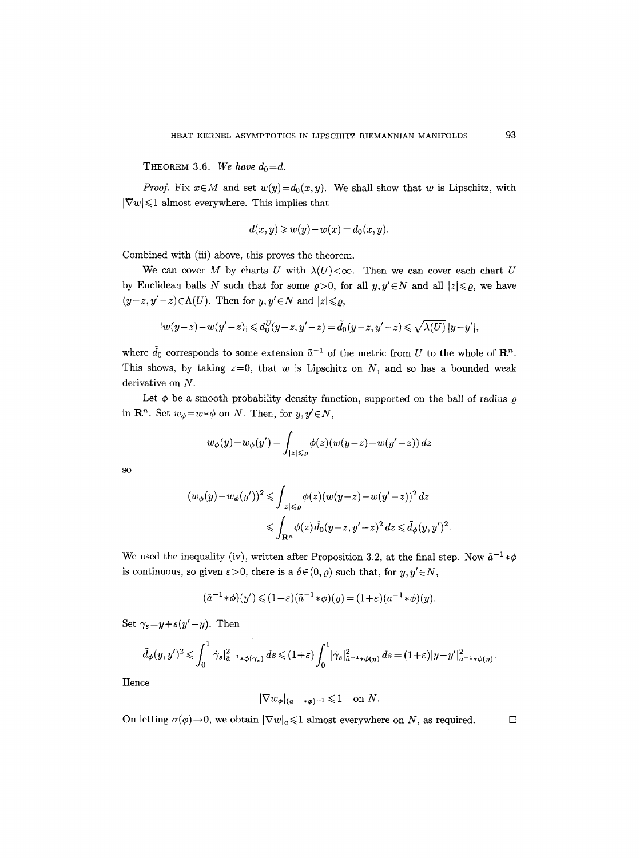THEOREM 3.6. We have  $d_0 = d$ .

*Proof.* Fix  $x \in M$  and set  $w(y) = d_0(x, y)$ . We shall show that w is Lipschitz, with  $|\nabla w| \leq 1$  almost everywhere. This implies that

$$
d(x, y) \geqslant w(y) - w(x) = d_0(x, y).
$$

Combined with (iii) above, this proves the theorem.

We can cover M by charts U with  $\lambda(U) < \infty$ . Then we can cover each chart U by Euclidean balls N such that for some  $\rho > 0$ , for all  $y, y' \in N$  and all  $|z| \leq \rho$ , we have  $(y-z, y'-z) \in \Lambda(U)$ . Then for  $y, y' \in N$  and  $|z| \leq \rho$ ,

$$
|w(y-z)-w(y'-z)| \leq d_0^U(y-z,y'-z) = \tilde{d}_0(y-z,y'-z) \leq \sqrt{\lambda(U)} \, |y-y'|,
$$

where  $\tilde{d}_0$  corresponds to some extension  $\tilde{a}^{-1}$  of the metric from U to the whole of  $\mathbb{R}^n$ . This shows, by taking  $z=0$ , that w is Lipschitz on N, and so has a bounded weak derivative on N.

Let  $\phi$  be a smooth probability density function, supported on the ball of radius  $\rho$ in  $\mathbb{R}^n$ . Set  $w_{\phi} = w * \phi$  on N. Then, for  $y, y' \in N$ ,

$$
w_{\phi}(y)-w_{\phi}(y')=\int_{|z|\leqslant e}\phi(z)(w(y-z)-w(y'-z))\,dz
$$

SO

$$
(w_{\phi}(y) - w_{\phi}(y'))^2 \leq \int_{|z| \leq \varrho} \phi(z) (w(y-z) - w(y'-z))^2 dz
$$
  

$$
\leq \int_{\mathbf{R}^n} \phi(z) \tilde{d}_0(y-z, y'-z)^2 dz \leq \tilde{d}_{\phi}(y, y')^2.
$$

We used the inequality (iv), written after Proposition 3.2, at the final step. Now  $\tilde{a}^{-1} * \phi$ is continuous, so given  $\varepsilon > 0$ , there is a  $\delta \in (0, \rho)$  such that, for  $y, y' \in N$ ,

$$
(\tilde{a}^{-1}*\phi)(y') \leq (1+\varepsilon)(\tilde{a}^{-1}*\phi)(y) = (1+\varepsilon)(a^{-1}*\phi)(y).
$$

Set  $\gamma_s = y + s(y' - y)$ . Then

$$
\tilde{d}_{\phi}(y,y')^2 \leqslant \int_0^1 |\dot{\gamma}_s|_{\tilde{a}^{-1}\ast\phi(\gamma_s)}^2 ds \leqslant (1+\varepsilon) \int_0^1 |\dot{\gamma}_s|_{\tilde{a}^{-1}\ast\phi(y)}^2 ds = (1+\varepsilon)|y-y'|_{a^{-1}\ast\phi(y)}^2.
$$

Hence

$$
|\nabla w_{\phi}|_{(a^{-1}*\phi)^{-1}} \leq 1 \quad \text{on } N.
$$

On letting  $\sigma(\phi) \to 0$ , we obtain  $|\nabla w|_a \leq 1$  almost everywhere on N, as required.  $\square$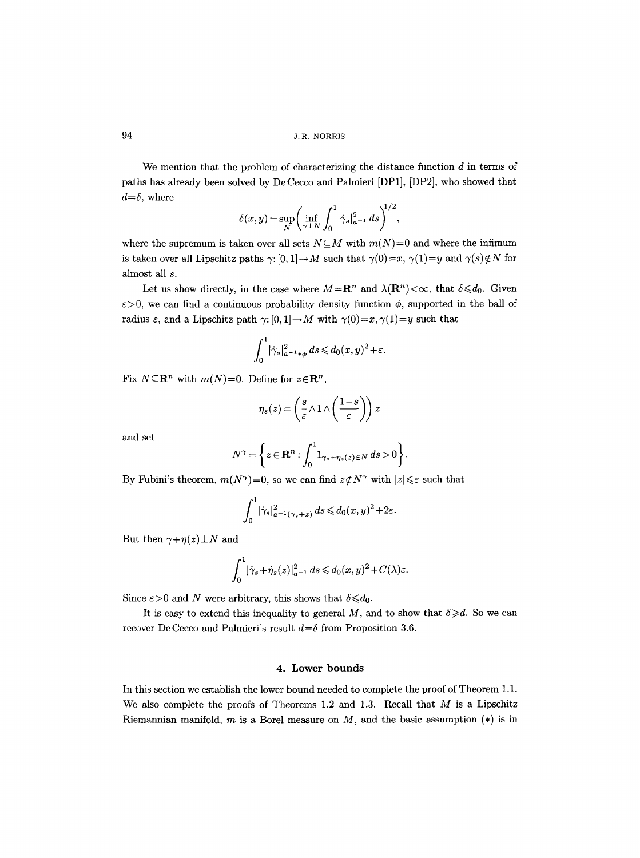We mention that the problem of characterizing the distance function  $d$  in terms of paths has already been solved by De Cecco and Palmieri [DP1], [DP2], who showed that  $d=\delta$ , where  $\overline{a}$ 

$$
\delta(x,y) = \sup_{N} \left( \inf_{\gamma \perp N} \int_0^1 |\dot{\gamma}_s|_{a^{-1}}^2 ds \right)^{1/2},
$$

where the supremum is taken over all sets  $N\subseteq M$  with  $m(N)=0$  and where the infimum is taken over all Lipschitz paths  $\gamma: [0, 1] \to M$  such that  $\gamma(0)=x$ ,  $\gamma(1)=y$  and  $\gamma(s) \notin N$  for almost all s.

Let us show directly, in the case where  $M=\mathbb{R}^n$  and  $\lambda(\mathbb{R}^n)<\infty$ , that  $\delta\leqslant d_0$ . Given  $\varepsilon > 0$ , we can find a continuous probability density function  $\phi$ , supported in the ball of radius  $\varepsilon$ , and a Lipschitz path  $\gamma: [0, 1] \to M$  with  $\gamma(0)=x, \gamma(1)=y$  such that

$$
\int_0^1 |\dot{\gamma}_s|_{a^{-1}\ast\phi}^2 ds \leq d_0(x,y)^2 + \varepsilon.
$$

Fix  $N \subseteq \mathbb{R}^n$  with  $m(N)=0$ . Define for  $z \in \mathbb{R}^n$ ,

$$
\eta_s(z) = \left(\frac{s}{\varepsilon} \land 1 \land \left(\frac{1-s}{\varepsilon}\right)\right) z
$$

and set

$$
N^{\gamma} = \left\{ z \in \mathbf{R}^n : \int_0^1 1_{\gamma_s + \eta_s(z) \in N} ds > 0 \right\}.
$$

By Fubini's theorem,  $m(N^{\gamma})=0$ , so we can find  $z \notin N^{\gamma}$  with  $|z| \leq \varepsilon$  such that

$$
\int_0^1 |\dot{\gamma}_s|_{a^{-1}(\gamma_s+z)}^2 ds \leq d_0(x,y)^2 + 2\varepsilon.
$$

But then  $\gamma+\eta(z)\perp N$  and

$$
\int_0^1 |\dot{\gamma}_s + \dot{\eta}_s(z)|_{a^{-1}}^2 ds \leq d_0(x, y)^2 + C(\lambda)\varepsilon.
$$

Since  $\varepsilon > 0$  and N were arbitrary, this shows that  $\delta \leq d_0$ .

It is easy to extend this inequality to general M, and to show that  $\delta \geq d$ . So we can recover De Cecco and Palmieri's result  $d=$  from Proposition 3.6.

## 4. Lower bounds

In this section we establish the lower bound needed to complete the proof of Theorem 1.1. We also complete the proofs of Theorems 1.2 and 1.3. Recall that  $M$  is a Lipschitz Riemannian manifold, m is a Borel measure on  $M$ , and the basic assumption  $(*)$  is in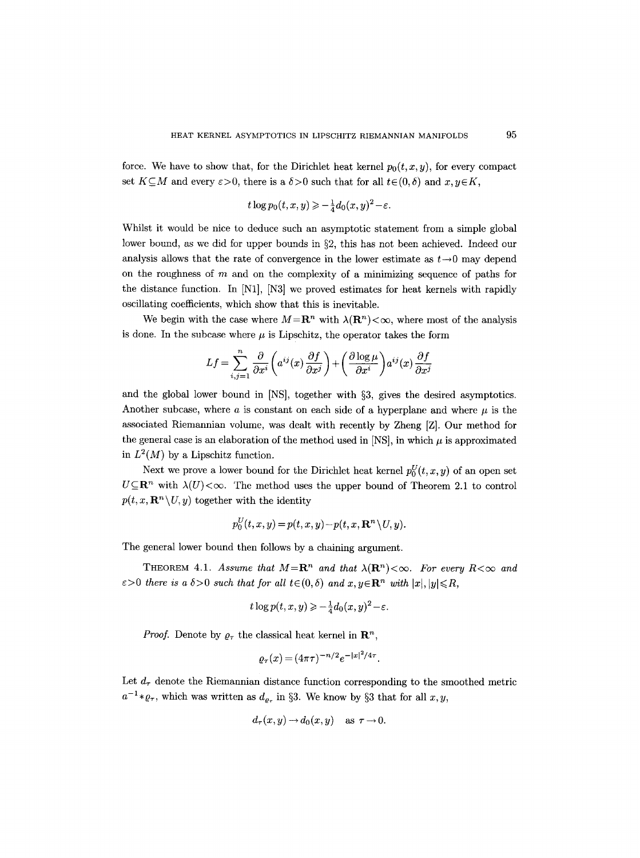force. We have to show that, for the Dirichlet heat kernel  $p_0(t, x, y)$ , for every compact set  $K \subseteq M$  and every  $\varepsilon > 0$ , there is a  $\delta > 0$  such that for all  $t \in (0,\delta)$  and  $x, y \in K$ ,

$$
t\log p_0(t,x,y) \geqslant -\frac{1}{4}d_0(x,y)^2 - \varepsilon.
$$

Whilst it would be nice to deduce such an asymptotic statement from a simple global lower bound, as we did for upper bounds in  $\S2$ , this has not been achieved. Indeed our analysis allows that the rate of convergence in the lower estimate as  $t\rightarrow 0$  may depend on the roughness of  $m$  and on the complexity of a minimizing sequence of paths for the distance function. In [N1], [N3] we proved estimates for heat kernels with rapidly oscillating coefficients, which show that this is inevitable.

We begin with the case where  $M=R^n$  with  $\lambda(R^n)<\infty$ , where most of the analysis is done. In the subcase where  $\mu$  is Lipschitz, the operator takes the form

$$
Lf = \sum_{i,j=1}^{n} \frac{\partial}{\partial x^i} \left( a^{ij}(x) \frac{\partial f}{\partial x^j} \right) + \left( \frac{\partial \log \mu}{\partial x^i} \right) a^{ij}(x) \frac{\partial f}{\partial x^j}
$$

and the global lower bound in  $[NS]$ , together with §3, gives the desired asymptotics. Another subcase, where a is constant on each side of a hyperplane and where  $\mu$  is the associated Riemannian volume, was dealt with recently by Zheng [Z]. Our method for the general case is an elaboration of the method used in [NS], in which  $\mu$  is approximated in  $L^2(M)$  by a Lipschitz function.

Next we prove a lower bound for the Dirichlet heat kernel  $p_0^U(t, x, y)$  of an open set  $U \subseteq \mathbb{R}^n$  with  $\lambda(U) < \infty$ . The method uses the upper bound of Theorem 2.1 to control  $p(t, x, \mathbf{R}^n \setminus U, y)$  together with the identity

$$
p_0^U(t, x, y) = p(t, x, y) - p(t, x, \mathbf{R}^n \setminus U, y).
$$

The general lower bound then follows by a chaining argument.

THEOREM 4.1. *Assume that*  $M = \mathbb{R}^n$  *and that*  $\lambda(\mathbb{R}^n) < \infty$ . For every  $R < \infty$  and  $\varepsilon > 0$  there is a  $\delta > 0$  such that for all  $t \in (0, \delta)$  and  $x, y \in \mathbb{R}^n$  with  $|x|, |y| \le R$ ,

$$
t\log p(t,x,y) \geqslant -\frac{1}{4}d_0(x,y)^2 - \varepsilon.
$$

*Proof.* Denote by  $\rho_{\tau}$  the classical heat kernel in  $\mathbb{R}^{n}$ ,

$$
\varrho_{\tau}(x) = (4\pi\tau)^{-n/2} e^{-|x|^2/4\tau}.
$$

Let  $d_{\tau}$  denote the Riemannian distance function corresponding to the smoothed metric  $a^{-1} * \varrho_{\tau}$ , which was written as  $d_{\varrho_{\tau}}$  in §3. We know by §3 that for all  $x, y$ ,

$$
d_{\tau}(x, y) \to d_0(x, y) \quad \text{as } \tau \to 0
$$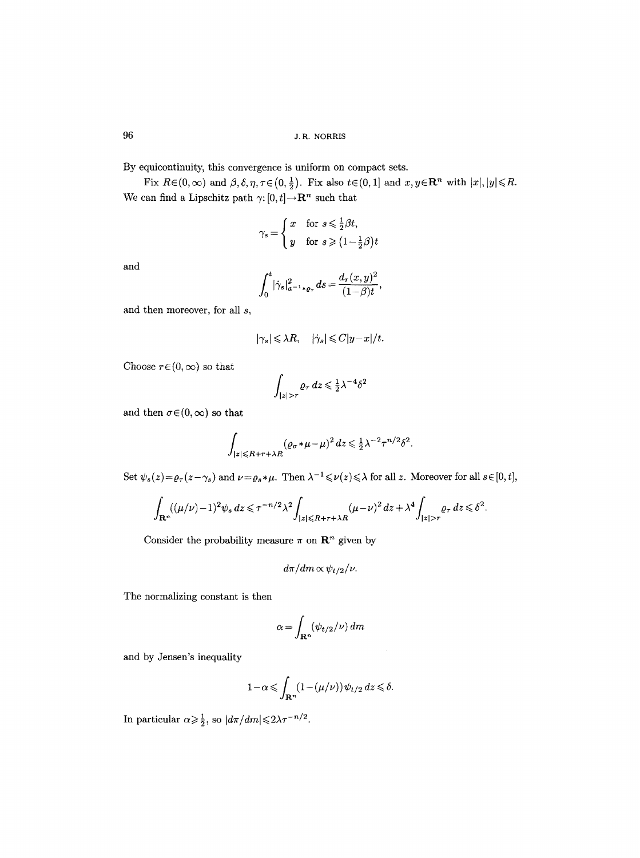By equicontinuity, this convergence is uniform on compact sets.

Fix  $R \in (0, \infty)$  and  $\beta, \delta, \eta, \tau \in (0, \frac{1}{2})$ . Fix also  $t \in (0, 1]$  and  $x, y \in \mathbb{R}^n$  with  $|x|, |y| \le R$ . We can find a Lipschitz path  $\gamma$ :  $[0, t] \rightarrow \mathbb{R}^n$  such that

$$
\gamma_s = \begin{cases} x & \text{for } s \leq \frac{1}{2}\beta t, \\ y & \text{for } s \geqslant \left(1 - \frac{1}{2}\beta\right)t \end{cases}
$$

and

$$
\int_0^t |\dot{\gamma}_s|_{a^{-1}*\varrho_\tau}^2 ds = \frac{d_\tau(x, y)^2}{(1 - \beta)t},
$$

and then moreover, for all s,

$$
|\gamma_s| \leq \lambda R, \quad |\dot{\gamma}_s| \leq C |y - x|/t.
$$

Choose  $r \in (0, \infty)$  so that

$$
\int_{|z|>r} \varrho_\tau \, dz \leq \frac{1}{2} \lambda^{-4} \delta^2
$$

and then  $\sigma \in (0, \infty)$  so that

$$
\int_{|z| \le R+r+\lambda R} (\varrho_\sigma * \mu - \mu)^2 dz \le \frac{1}{2} \lambda^{-2} \tau^{n/2} \delta^2.
$$

Set  $\psi_s(z) = \varrho_\tau(z-\gamma_s)$  and  $\nu = \varrho_s*\mu$ . Then  $\lambda^{-1} \leq \nu(z) \leq \lambda$  for all z. Moreover for all  $s \in [0, t]$ ,

$$
\int_{\mathbf{R}^n} ((\mu/\nu)-1)^2 \psi_s dz \le \tau^{-n/2} \lambda^2 \int_{|z| \le R+r+\lambda R} (\mu-\nu)^2 dz + \lambda^4 \int_{|z|>r} \varrho_\tau dz \le \delta^2.
$$

Consider the probability measure  $\pi$  on  $\mathbb{R}^n$  given by

$$
d\pi/dm \propto \psi_{t/2}/\nu.
$$

The normalizing constant is then

$$
\alpha = \int_{\mathbf{R}^n} (\psi_{t/2}/\nu) \, dm
$$

and by Jensen's inequality

$$
1-\alpha \leqslant \int_{\mathbf{R}^n} (1-(\mu/\nu)) \psi_{t/2} \, dz \leqslant \delta.
$$

In particular  $\alpha \ge \frac{1}{2}$ , so  $|d\pi/dm| \le 2\lambda \tau^{-n/2}$ .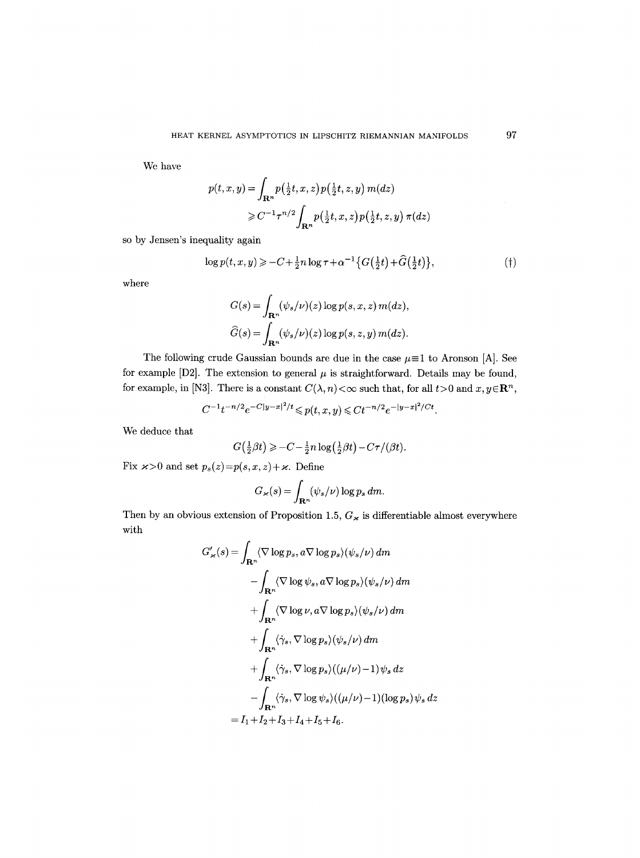We have

$$
p(t, x, y) = \int_{\mathbf{R}^n} p\left(\frac{1}{2}t, x, z\right) p\left(\frac{1}{2}t, z, y\right) m(dz)
$$
  
\n
$$
\geq C^{-1} \tau^{n/2} \int_{\mathbf{R}^n} p\left(\frac{1}{2}t, x, z\right) p\left(\frac{1}{2}t, z, y\right) \pi(dz)
$$

so by Jensen's inequality again

$$
\log p(t, x, y) \geq -C + \frac{1}{2}n \log \tau + \alpha^{-1} \{ G(\frac{1}{2}t) + \widehat{G}(\frac{1}{2}t) \},\tag{\dagger}
$$

where

$$
G(s) = \int_{\mathbf{R}^n} (\psi_s/\nu)(z) \log p(s, x, z) m(dz),
$$
  

$$
\widehat{G}(s) = \int_{\mathbf{R}^n} (\psi_s/\nu)(z) \log p(s, z, y) m(dz).
$$

The following crude Gaussian bounds are due in the case  $\mu \equiv 1$  to Aronson [A]. See for example [D2]. The extension to general  $\mu$  is straightforward. Details may be found, for example, in [N3]. There is a constant  $C(\lambda, n) < \infty$  such that, for all  $t > 0$  and  $x, y \in \mathbb{R}^n$ ,

$$
C^{-1}t^{-n/2}e^{-C|y-x|^2/t}\leqslant p(t,x,y)\leqslant C t^{-n/2}e^{-|y-x|^2/Ct}.
$$

We deduce that

$$
G(\frac{1}{2}\beta t) \geq -C - \frac{1}{2}n\log(\frac{1}{2}\beta t) - C\tau/(\beta t).
$$

Fix  $\varkappa > 0$  and set  $p_s(z) = p(s, x, z) + \varkappa$ . Define

$$
G_{\varkappa}(s) = \int_{\mathbf{R}^n} (\psi_s/\nu) \log p_s \, dm.
$$

Then by an obvious extension of Proposition 1.5,  $G_{\varkappa}$  is differentiable almost everywhere with

$$
G'_{\varkappa}(s) = \int_{\mathbf{R}^n} \langle \nabla \log p_s, a \nabla \log p_s \rangle (\psi_s/\nu) dm
$$
  
\n
$$
- \int_{\mathbf{R}^n} \langle \nabla \log \psi_s, a \nabla \log p_s \rangle (\psi_s/\nu) dm
$$
  
\n
$$
+ \int_{\mathbf{R}^n} \langle \nabla \log \nu, a \nabla \log p_s \rangle (\psi_s/\nu) dm
$$
  
\n
$$
+ \int_{\mathbf{R}^n} \langle \dot{\gamma}_s, \nabla \log p_s \rangle (\psi_s/\nu) dm
$$
  
\n
$$
+ \int_{\mathbf{R}^n} \langle \dot{\gamma}_s, \nabla \log p_s \rangle ((\mu/\nu) - 1) \psi_s dz
$$
  
\n
$$
- \int_{\mathbf{R}^n} \langle \dot{\gamma}_s, \nabla \log \psi_s \rangle ((\mu/\nu) - 1) (\log p_s) \psi_s dz
$$
  
\n
$$
= I_1 + I_2 + I_3 + I_4 + I_5 + I_6.
$$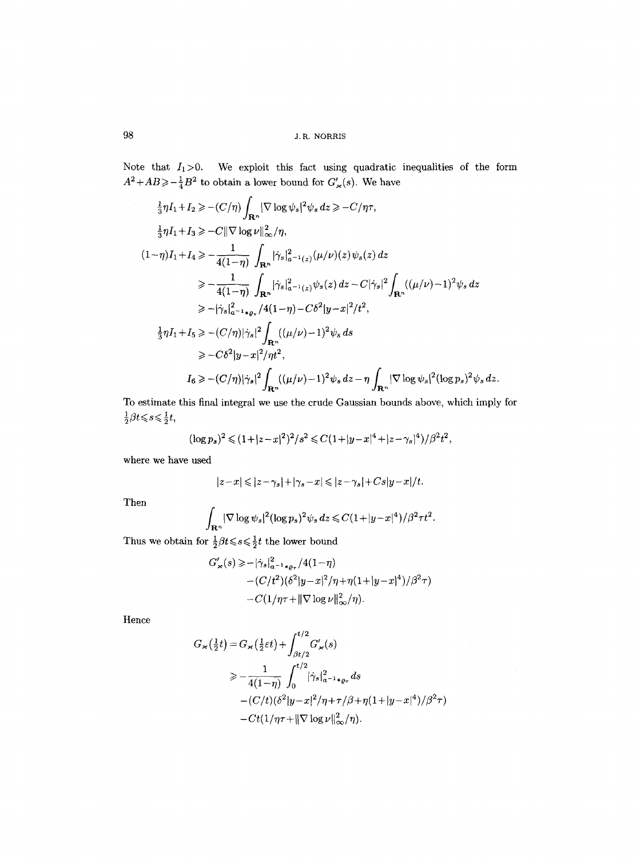98 **a.**  $J.R. NORRIS$ 

Note that  $I_1>0$ . We exploit this fact using quadratic inequalities of the form  $A^2+AB\geqslant-\frac{1}{4}B^2$  to obtain a lower bound for  $G'_{\varkappa}(s)$ . We have

$$
\frac{1}{3}\eta I_1 + I_2 \geq -\frac{C}{\eta} \int_{\mathbf{R}^n} |\nabla \log \psi_s|^2 \psi_s dz \geq -\frac{C}{\eta \tau},
$$
\n
$$
\frac{1}{3}\eta I_1 + I_3 \geq -C \|\nabla \log \nu\|_{\infty}^2 / \eta,
$$
\n
$$
(1-\eta)I_1 + I_4 \geq -\frac{1}{4(1-\eta)} \int_{\mathbf{R}^n} |\dot{\gamma}_s|_{a^{-1}(z)}^2 (\mu/\nu)(z) \psi_s(z) dz
$$
\n
$$
\geq -\frac{1}{4(1-\eta)} \int_{\mathbf{R}^n} |\dot{\gamma}_s|_{a^{-1}(z)}^2 \psi_s(z) dz - C |\dot{\gamma}_s|^2 \int_{\mathbf{R}^n} ((\mu/\nu) - 1)^2 \psi_s dz
$$
\n
$$
\geq -|\dot{\gamma}_s|_{a^{-1}*\varrho_\tau}^2 / 4(1-\eta) - C\delta^2 |y - x|^2 / t^2,
$$
\n
$$
\frac{1}{3}\eta I_1 + I_5 \geq -\frac{C}{\eta} |\dot{\gamma}_s|^2 \int_{\mathbf{R}^n} ((\mu/\nu) - 1)^2 \psi_s dz
$$
\n
$$
\geq -C\delta^2 |y - x|^2 / \eta t^2,
$$
\n
$$
I_6 \geq -\frac{C}{\eta} |\dot{\gamma}_s|^2 \int_{\mathbf{R}^n} ((\mu/\nu) - 1)^2 \psi_s dz - \eta \int_{\mathbf{R}^n} |\nabla \log \psi_s|^2 (\log p_s)^2 \psi_s dz.
$$

To estimate this final integral we use the crude Gaussian bounds above, which imply for  $\frac{1}{2}\beta t\!\leqslant\!s\!\leqslant\!\frac{1}{2}t,$ 

$$
(\log p_s)^2 \leq (1+|z-x|^2)^2/s^2 \leq C(1+|y-x|^4+|z-\gamma_s|^4)/\beta^2t^2,
$$

where we have used

$$
|z-x|\leqslant |z-\gamma_s|+|\gamma_s-x|\leqslant |z-\gamma_s|+Cs|y-x|/t.
$$

Then

$$
\int_{\mathbf{R}^n} |\nabla \log \psi_s|^2 (\log p_s)^2 \psi_s dz \leqslant C(1+|y-x|^4)/\beta^2 \tau t^2.
$$

Thus we obtain for  $\frac{1}{2}\beta t\!\leqslant\!s\!\leqslant\!\frac{1}{2} t$  the lower bound

$$
G'_{\varkappa}(s) \ge -|\dot{\gamma}_s|_{a^{-1}*\varrho_{\tau}}^2/4(1-\eta) - (C/t^2)(\delta^2|y-x|^2/\eta+\eta(1+|y-x|^4)/\beta^2\tau) - C(1/\eta\tau + ||\nabla \log \nu||_{\infty}^2/\eta).
$$

Hence

$$
G_{\varkappa}(\frac{1}{2}t) = G_{\varkappa}(\frac{1}{2}\varepsilon t) + \int_{\beta t/2}^{t/2} G'_{\varkappa}(s)
$$
  
\n
$$
\ge -\frac{1}{4(1-\eta)} \int_0^{t/2} |\dot{\gamma}_s|_{a^{-1}*\varrho_\tau}^2 ds
$$
  
\n
$$
-(C/t)(\delta^2|y-x|^2/\eta + \tau/\beta + \eta(1+|y-x|^4)/\beta^2 \tau)
$$
  
\n
$$
-Ct(1/\eta\tau + ||\nabla \log \nu||_{\infty}^2/\eta).
$$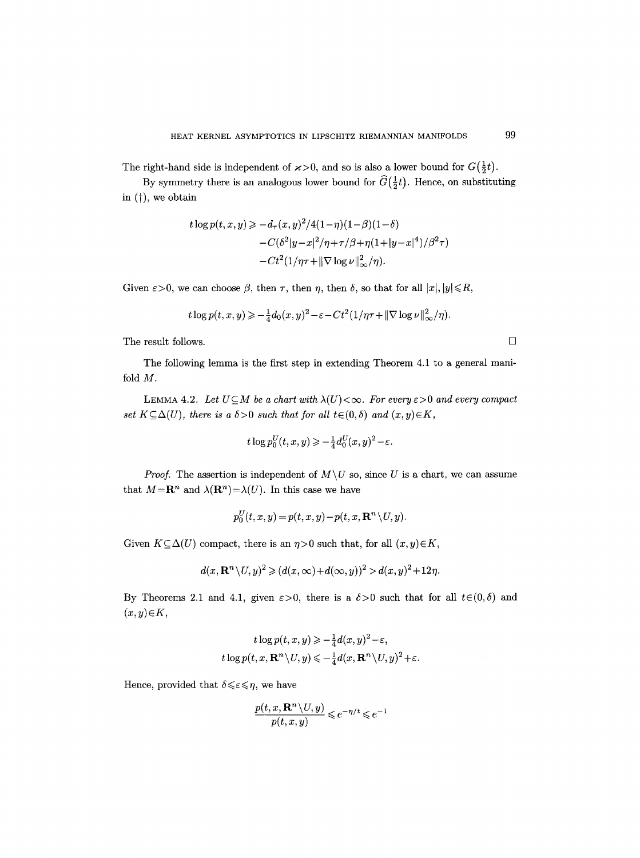The right-hand side is independent of  $\varkappa > 0$ , and so is also a lower bound for  $G(\frac{1}{2}t)$ .

By symmetry there is an analogous lower bound for  $\widehat{G}(\frac{1}{2}t)$ . Hence, on substituting in  $(+)$ , we obtain

$$
t \log p(t, x, y) \ge -d_{\tau}(x, y)^{2}/4(1-\eta)(1-\beta)(1-\delta) -C(\delta^{2}|y-x|^{2}/\eta+\tau/\beta+\eta(1+|y-x|^{4})/\beta^{2}\tau) -Ct^{2}(1/\eta\tau+\|\nabla \log \nu\|_{\infty}^{2}/\eta).
$$

Given  $\varepsilon > 0$ , we can choose  $\beta$ , then  $\tau$ , then  $\eta$ , then  $\delta$ , so that for all  $|x|, |y| \le R$ ,

$$
t\log p(t,x,y) \geqslant -\frac{1}{4}d_0(x,y)^2 - \varepsilon - Ct^2(1/\eta\tau + \|\nabla \log \nu\|_{\infty}^2/\eta).
$$

The result follows.  $\Box$ 

The following lemma is the first step in extending Theorem 4.1 to a general manifold M.

LEMMA 4.2. Let  $U \subseteq M$  be a chart with  $\lambda(U) < \infty$ . For every  $\varepsilon > 0$  and every compact *set*  $K \subseteq \Delta(U)$ , *there is a*  $\delta > 0$  *such that for all t* $\in (0, \delta)$  *and*  $(x, y) \in K$ ,

$$
t\log p_0^U(t,x,y) \geqslant -\frac{1}{4}d_0^U(x,y)^2 - \varepsilon.
$$

*Proof.* The assertion is independent of  $M\U$  so, since U is a chart, we can assume that  $M = \mathbb{R}^n$  and  $\lambda(\mathbb{R}^n) = \lambda(U)$ . In this case we have

$$
p_0^U(t,x,y) = p(t,x,y) - p(t,x,\mathbf{R}^n \setminus U,y).
$$

Given  $K \subseteq \Delta(U)$  compact, there is an  $\eta > 0$  such that, for all  $(x, y) \in K$ ,

$$
d(x, \mathbf{R}^n \setminus U, y)^2 \geq (d(x, \infty) + d(\infty, y))^2 > d(x, y)^2 + 12\eta.
$$

By Theorems 2.1 and 4.1, given  $\varepsilon > 0$ , there is a  $\delta > 0$  such that for all  $t \in (0, \delta)$  and  $(x, y) \in K$ ,

$$
t \log p(t, x, y) \geqslant -\frac{1}{4} d(x, y)^2 - \varepsilon,
$$
  

$$
t \log p(t, x, \mathbf{R}^n \setminus U, y) \leqslant -\frac{1}{4} d(x, \mathbf{R}^n \setminus U, y)^2 + \varepsilon.
$$

Hence, provided that  $\delta \leq \varepsilon \leq \eta$ , we have

$$
\frac{p(t,x,{\bf R}^n\backslash U,y)}{p(t,x,y)}\leqslant e^{-\eta/t}\leqslant e^{-1}
$$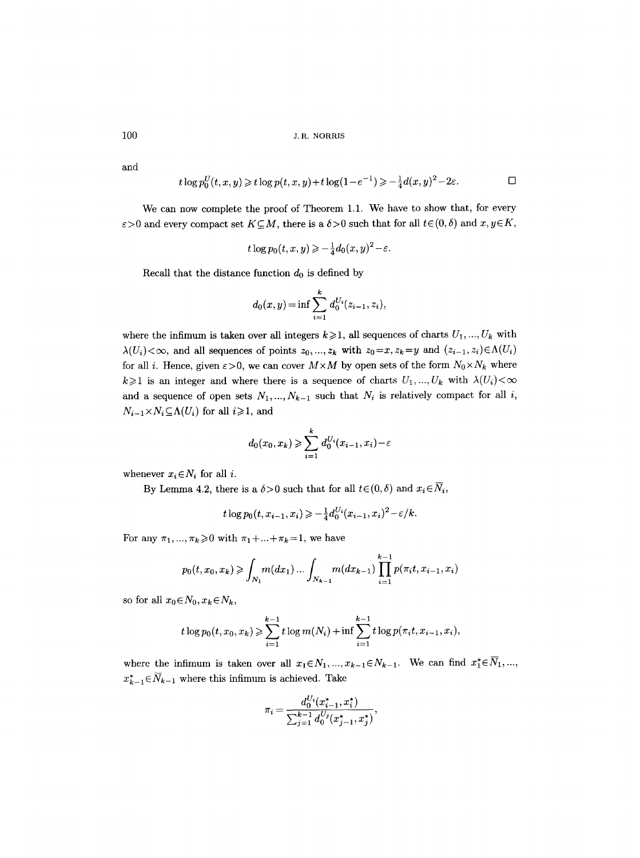and

$$
t\log p_0^U(t,x,y) \geqslant t\log p(t,x,y) + t\log(1-e^{-1}) \geqslant -\frac{1}{4}d(x,y)^2 - 2\varepsilon.
$$

We can now complete the proof of Theorem 1.1. We have to show that, for every  $\varepsilon > 0$  and every compact set  $K \subseteq M$ , there is a  $\delta > 0$  such that for all  $t \in (0, \delta)$  and  $x, y \in K$ ,

$$
t\log p_0(t,x,y) \geqslant -\frac{1}{4}d_0(x,y)^2 - \varepsilon.
$$

Recall that the distance function  $d_0$  is defined by

$$
d_0(x, y) = \inf \sum_{i=1}^k d_0^{U_i}(z_{i-1}, z_i),
$$

where the infimum is taken over all integers  $k\geqslant 1$ , all sequences of charts  $U_1, ..., U_k$  with  $\lambda(U_i)<\infty$ , and all sequences of points  $z_0, ..., z_k$  with  $z_0=x, z_k=y$  and  $(z_{i-1}, z_i)\in \Lambda(U_i)$ for all i. Hence, given  $\varepsilon > 0$ , we can cover  $M \times M$  by open sets of the form  $N_0 \times N_k$  where  $k\geqslant 1$  is an integer and where there is a sequence of charts  $U_1, ..., U_k$  with  $\lambda(U_i)<\infty$ and a sequence of open sets  $N_1, ..., N_{k-1}$  such that  $N_i$  is relatively compact for all i,  $N_{i-1} \times N_i \subseteq \Lambda(U_i)$  for all  $i \geq 1$ , and

$$
d_0(x_0, x_k) \geqslant \sum_{i=1}^k d_0^{U_i}(x_{i-1}, x_i) - \varepsilon
$$

whenever  $x_i \in N_i$  for all i.

By Lemma 4.2, there is a  $\delta > 0$  such that for all  $t \in (0, \delta)$  and  $x_i \in \overline{N}_i$ ,

$$
t\log p_0(t, x_{i-1}, x_i) \geqslant -\frac{1}{4}d_0^{U_i}(x_{i-1}, x_i)^2 - \varepsilon/k.
$$

For any  $\pi_1, ..., \pi_k \ge 0$  with  $\pi_1 + ... + \pi_k = 1$ , we have

$$
p_0(t, x_0, x_k) \geq \int_{N_1} m(dx_1) \dots \int_{N_{k-1}} m(dx_{k-1}) \prod_{i=1}^{k-1} p(\pi_i t, x_{i-1}, x_i)
$$

so for all  $x_0 \in N_0, x_k \in N_k$ ,

$$
t \log p_0(t, x_0, x_k) \geq \sum_{i=1}^{k-1} t \log m(N_i) + \inf \sum_{i=1}^{k-1} t \log p(\pi_i t, x_{i-1}, x_i),
$$

where the infimum is taken over all  $x_1 \in N_1, ..., x_{k-1} \in N_{k-1}$ . We can find  $x_1^* \in \overline{N}_1, ...,$  $x_{k-1}^* \in \overline{N}_{k-1}$  where this infimum is achieved. Take

$$
\pi_i = \frac{d_0^{U_i}(x_{i-1}^*, x_i^*)}{\sum_{j=1}^{k-1} d_0^{U_j}(x_{j-1}^*, x_j^*)},
$$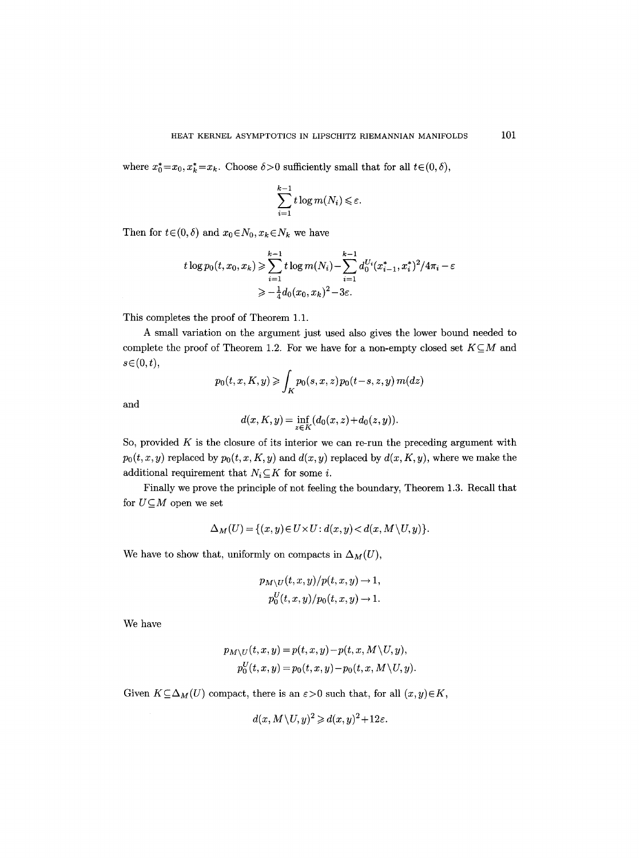where  $x_0^* = x_0, x_k^* = x_k$ . Choose  $\delta > 0$  sufficiently small that for all  $t \in (0, \delta)$ ,

$$
\sum_{i=1}^{k-1} t \log m(N_i) \leq \varepsilon.
$$

Then for  $t \in (0, \delta)$  and  $x_0 \in N_0$ ,  $x_k \in N_k$  we have

$$
t \log p_0(t, x_0, x_k) \geq \sum_{i=1}^{k-1} t \log m(N_i) - \sum_{i=1}^{k-1} d_0^{U_i} (x_{i-1}^*, x_i^*)^2 / 4\pi_i - \varepsilon
$$
  

$$
\geq -\frac{1}{4} d_0 (x_0, x_k)^2 - 3\varepsilon.
$$

This completes the proof of Theorem 1.1.

A small variation on the argument just used also gives the lower bound needed to complete the proof of Theorem 1.2. For we have for a non-empty closed set  $K\subseteq M$  and  $s \in (0, t)$ ,

$$
p_0(t, x, K, y) \geqslant \int_K p_0(s, x, z) p_0(t - s, z, y) m(dz)
$$

and

$$
d(x, K, y) = \inf_{z \in K} (d_0(x, z) + d_0(z, y)).
$$

So, provided  $K$  is the closure of its interior we can re-run the preceding argument with  $p_0(t, x, y)$  replaced by  $p_0(t, x, K, y)$  and  $d(x, y)$  replaced by  $d(x, K, y)$ , where we make the additional requirement that  $N_i \subseteq K$  for some *i*.

Finally we prove the principle of not feeling the boundary, Theorem 1.3. Recall that for  $U\subseteq M$  open we set

$$
\Delta_M(U) = \{(x, y) \in U \times U : d(x, y) < d(x, M \setminus U, y)\}.
$$

We have to show that, uniformly on compacts in  $\Delta_M(U)$ ,

$$
p_{M\setminus U}(t,x,y)/p(t,x,y) \to 1,
$$
  

$$
p_0^U(t,x,y)/p_0(t,x,y) \to 1.
$$

We have

$$
p_{M\setminus U}(t,x,y) = p(t,x,y) - p(t,x,M\setminus U,y),
$$
  
\n
$$
p_0^U(t,x,y) = p_0(t,x,y) - p_0(t,x,M\setminus U,y).
$$

Given  $K \subseteq \Delta_M(U)$  compact, there is an  $\varepsilon > 0$  such that, for all  $(x, y) \in K$ ,

$$
d(x, M \setminus U, y)^2 \geq d(x, y)^2 + 12\varepsilon.
$$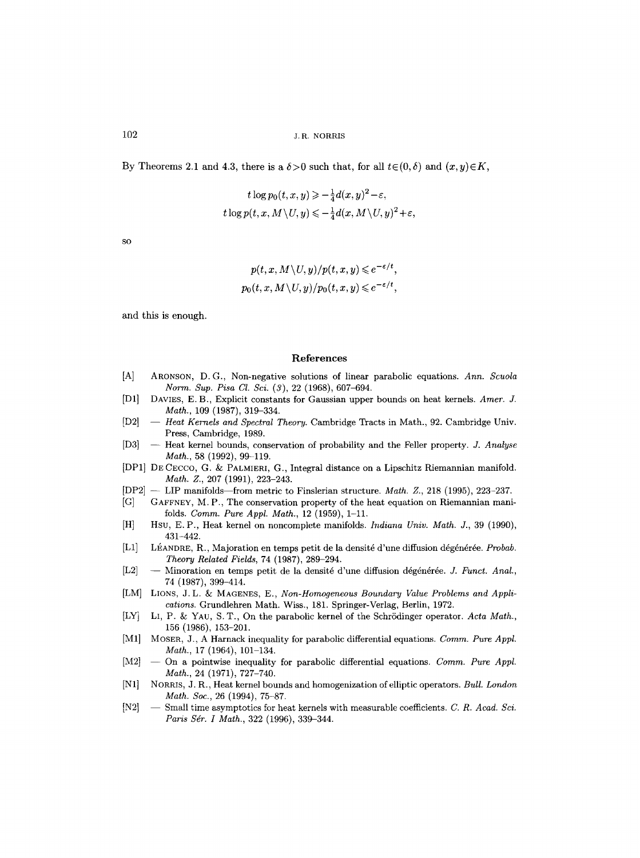By Theorems 2.1 and 4.3, there is a  $\delta > 0$  such that, for all  $t \in (0, \delta)$  and  $(x, y) \in K$ ,

$$
t \log p_0(t, x, y) \geqslant -\frac{1}{4}d(x, y)^2 - \varepsilon,
$$
  

$$
t \log p(t, x, M \setminus U, y) \leqslant -\frac{1}{4}d(x, M \setminus U, y)^2 + \varepsilon,
$$

 $SO<sub>2</sub>$ 

$$
p(t, x, M \setminus U, y)/p(t, x, y) \leqslant e^{-\varepsilon/t},
$$
  

$$
p_0(t, x, M \setminus U, y)/p_0(t, x, y) \leqslant e^{-\varepsilon/t},
$$

and this is enough.

#### **References**

- [A] ARONSON, D.G., Non-negative solutions of linear parabolic equations. *Ann. Scuola Norm. Sup. Pisa Cl. Sci. (3),* 22 (1968), 607-694.
- [D1] DAVIES, E.B., Explicit constants for Gaussian upper bounds on heat kernels. *Amer. J. Math.,* 109 (1987), 319-334.
- [D2] -- Heat Kernels and Spectral Theory. Cambridge Tracts in Math., 92. Cambridge Univ. Press, Cambridge, 1989.
- [D3] -- Heat kernel bounds, conservation of probability and the Feller property. *J. Analyse Math.,* 58 (1992), 99-119.
- [DP1] DE CECCO, G. & PALMIERI, G., Integral distance on a Lipschitz Riemannian manifold. *Math. Z.,* 207 (1991), 223-243.
- [DP2] -- LIP manifolds--from metric to Finslerian structure. *Math. Z.,* 218 (1995), 223-237.
- [G] GAFFNEY, M. P., The conservation property of the heat equation on Riemannian manifolds. *Comm. Pure Appl. Math.,* 12 (1959), 1-11.
- [HI Hsu, E. P., Heat kernel on noncomplete manifolds. *Indiana Univ. Math. J.,* 39 (1990), 431-442.
- ILl] L~,ANDRE, R., Majoration en temps petit de la densit6 d'une diffusion d~gdn~r~e. *Probab. Theory Related Fields,* 74 (1987), 289-294.
- [L2] -- Minoration en temps petit de la densité d'une diffusion dégénérée. *J. Funct. Anal.*, 74 (1987), 399-414.
- [LM] LIONS, J. L. & MAGENES, E., *Non-Homogeneous Boundary Value Problems and Applications.* Grundlehren Math. Wiss., 181. Springer-Verlag, Berlin, 1972.
- [LY] LI, P. & YAU, S.T., On the parabolic kernel of the Schrödinger operator. *Acta Math.*, 156 (1986), 153-201.
- [M1] MOSER, J., A Harnack inequality for parabolic differential equations. *Comm. Pure Appl. Math.,* 17 (1964), 101-134.
- [M2] On a pointwise inequality for parabolic differential equations. *Comm. Pure Appl. Math.,* 24 (1971), 727-740.
- IN1] NORRIS, J. R., Heat kernel bounds and homogenization of elliptic operators. *Bull. London Math. Soe.,* 26 (1994), 75-87.
- IN2] -- Small time asymptotics for heat kernels with measurable coefficients. *C. R. Aead. Sci. Paris Sdr. I Math.,* 322 (1996), 339-344.